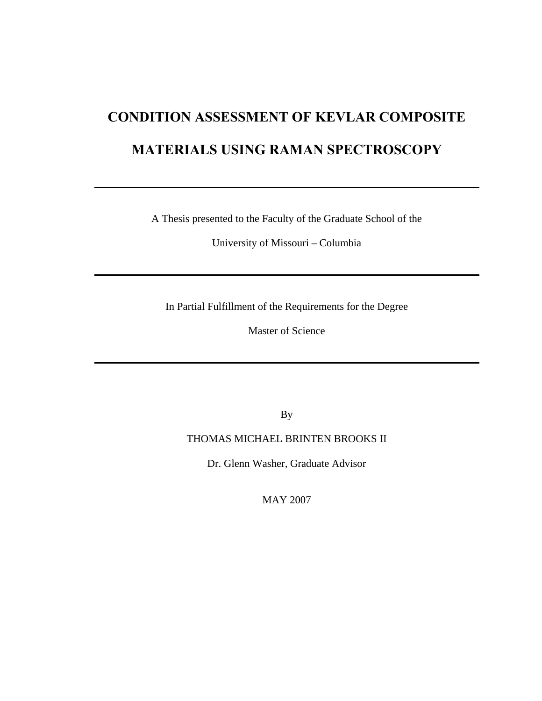# **CONDITION ASSESSMENT OF KEVLAR COMPOSITE MATERIALS USING RAMAN SPECTROSCOPY**

A Thesis presented to the Faculty of the Graduate School of the

University of Missouri – Columbia

In Partial Fulfillment of the Requirements for the Degree

Master of Science

By

## THOMAS MICHAEL BRINTEN BROOKS II

Dr. Glenn Washer, Graduate Advisor

MAY 2007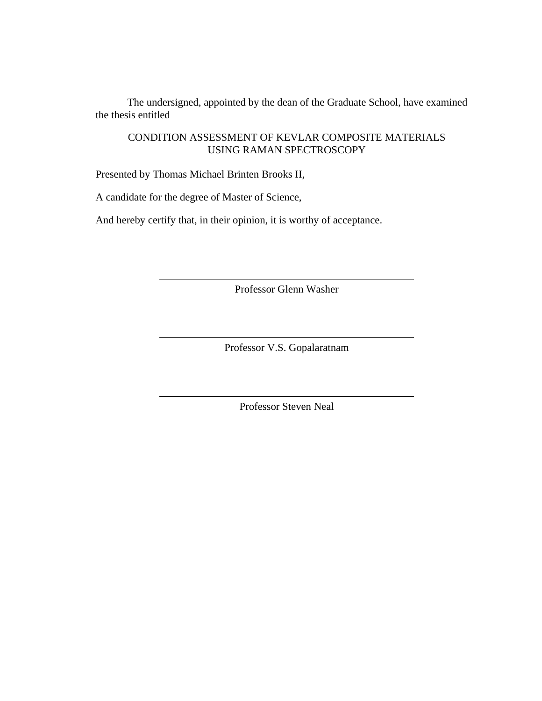The undersigned, appointed by the dean of the Graduate School, have examined the thesis entitled

## CONDITION ASSESSMENT OF KEVLAR COMPOSITE MATERIALS USING RAMAN SPECTROSCOPY

Presented by Thomas Michael Brinten Brooks II,

A candidate for the degree of Master of Science,

And hereby certify that, in their opinion, it is worthy of acceptance.

Professor Glenn Washer

Professor V.S. Gopalaratnam

Professor Steven Neal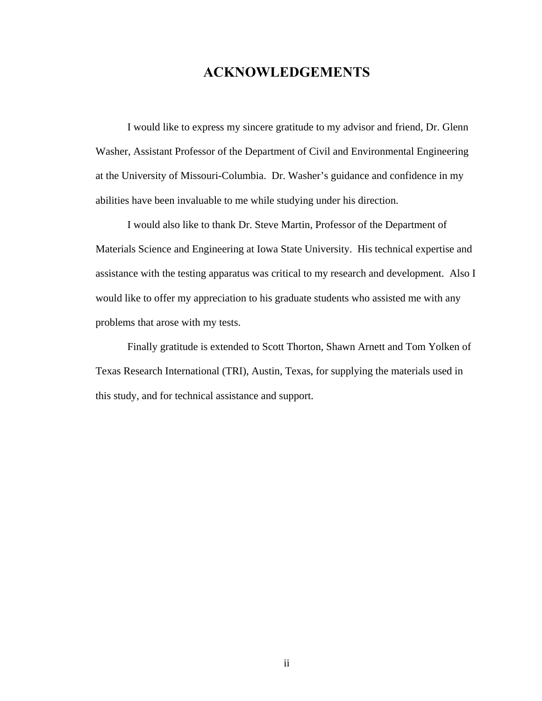## **ACKNOWLEDGEMENTS**

 I would like to express my sincere gratitude to my advisor and friend, Dr. Glenn Washer, Assistant Professor of the Department of Civil and Environmental Engineering at the University of Missouri-Columbia. Dr. Washer's guidance and confidence in my abilities have been invaluable to me while studying under his direction.

 I would also like to thank Dr. Steve Martin, Professor of the Department of Materials Science and Engineering at Iowa State University. His technical expertise and assistance with the testing apparatus was critical to my research and development. Also I would like to offer my appreciation to his graduate students who assisted me with any problems that arose with my tests.

 Finally gratitude is extended to Scott Thorton, Shawn Arnett and Tom Yolken of Texas Research International (TRI), Austin, Texas, for supplying the materials used in this study, and for technical assistance and support.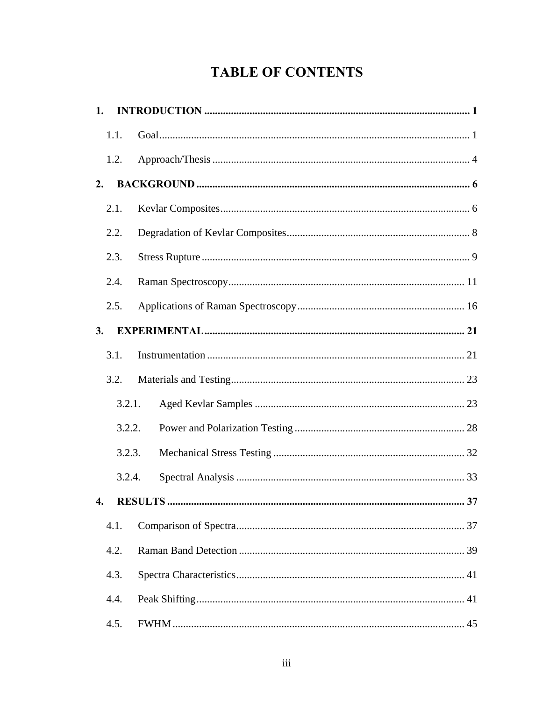## **TABLE OF CONTENTS**

| 1.                 |        |                      |  |
|--------------------|--------|----------------------|--|
|                    | 1.1.   |                      |  |
|                    | 1.2.   |                      |  |
| 2.                 |        |                      |  |
|                    | 2.1.   |                      |  |
|                    | 2.2.   |                      |  |
|                    | 2.3.   |                      |  |
|                    | 2.4.   |                      |  |
|                    | 2.5.   |                      |  |
| 3.                 |        |                      |  |
|                    | 3.1.   |                      |  |
|                    | 3.2.   |                      |  |
|                    | 3.2.1. |                      |  |
|                    | 3.2.2. |                      |  |
|                    | 3.2.3. |                      |  |
|                    | 3.2.4. |                      |  |
| $\mathbf{\Lambda}$ |        | <b>RESULTS</b><br>37 |  |
|                    | 4.1.   |                      |  |
|                    | 4.2.   |                      |  |
|                    | 4.3.   |                      |  |
|                    | 4.4.   |                      |  |
|                    | 4.5.   |                      |  |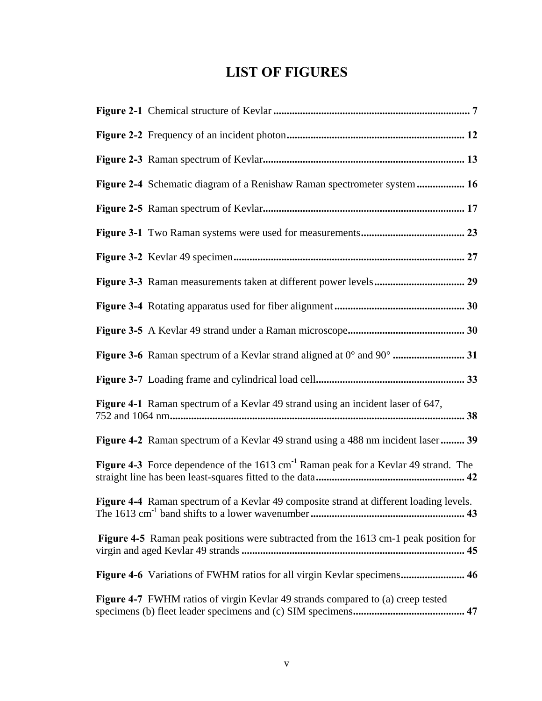## **LIST OF FIGURES**

| Figure 2-4 Schematic diagram of a Renishaw Raman spectrometer system  16                        |
|-------------------------------------------------------------------------------------------------|
|                                                                                                 |
|                                                                                                 |
|                                                                                                 |
|                                                                                                 |
|                                                                                                 |
|                                                                                                 |
|                                                                                                 |
|                                                                                                 |
| Figure 4-1 Raman spectrum of a Kevlar 49 strand using an incident laser of 647,                 |
| Figure 4-2 Raman spectrum of a Kevlar 49 strand using a 488 nm incident laser 39                |
| Figure 4-3 Force dependence of the 1613 cm <sup>-1</sup> Raman peak for a Kevlar 49 strand. The |
| Figure 4-4 Raman spectrum of a Kevlar 49 composite strand at different loading levels.          |
| Figure 4-5 Raman peak positions were subtracted from the 1613 cm-1 peak position for            |
| Figure 4-6 Variations of FWHM ratios for all virgin Kevlar specimens 46                         |
| Figure 4-7 FWHM ratios of virgin Kevlar 49 strands compared to (a) creep tested                 |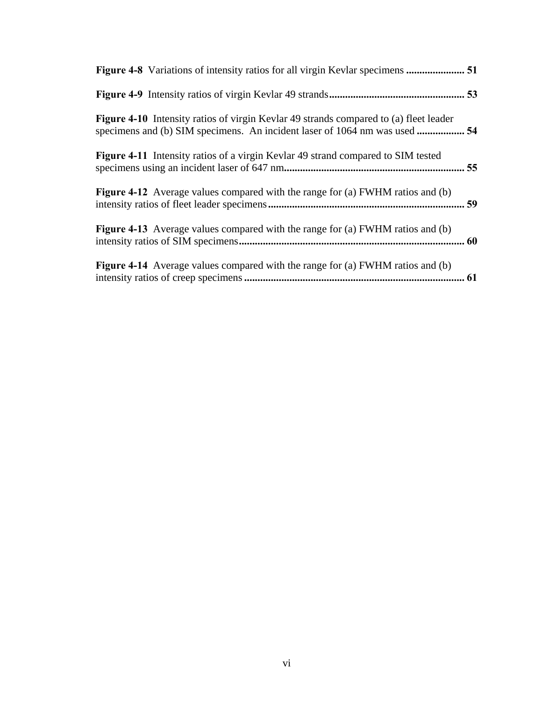| <b>Figure 4-10</b> Intensity ratios of virgin Kevlar 49 strands compared to (a) fleet leader |    |
|----------------------------------------------------------------------------------------------|----|
| Figure 4-11 Intensity ratios of a virgin Kevlar 49 strand compared to SIM tested             |    |
| <b>Figure 4-12</b> Average values compared with the range for (a) FWHM ratios and (b)        | 59 |
| <b>Figure 4-13</b> Average values compared with the range for (a) FWHM ratios and (b)        |    |
| <b>Figure 4-14</b> Average values compared with the range for (a) FWHM ratios and (b)        |    |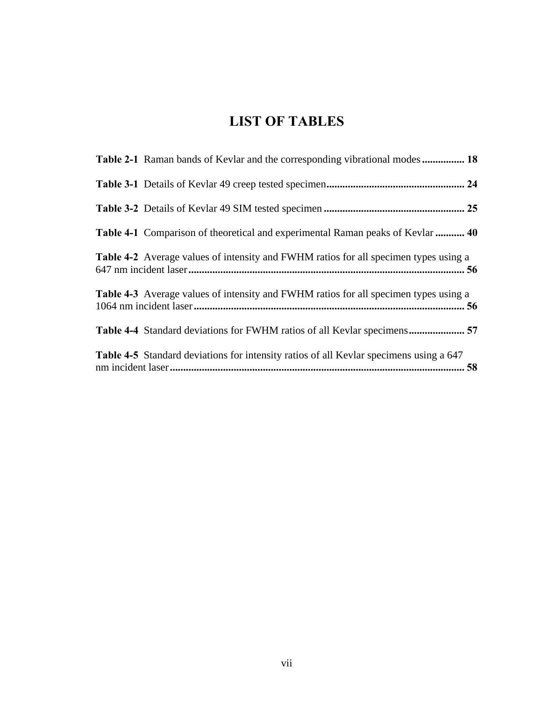## **LIST OF TABLES**

| <b>Table 2-1</b> Raman bands of Kevlar and the corresponding vibrational modes 18             |  |
|-----------------------------------------------------------------------------------------------|--|
|                                                                                               |  |
|                                                                                               |  |
| <b>Table 4-1</b> Comparison of theoretical and experimental Raman peaks of Kevlar  40         |  |
| <b>Table 4-2</b> Average values of intensity and FWHM ratios for all specimen types using a   |  |
| <b>Table 4-3</b> Average values of intensity and FWHM ratios for all specimen types using a   |  |
| Table 4-4 Standard deviations for FWHM ratios of all Kevlar specimens 57                      |  |
| <b>Table 4-5</b> Standard deviations for intensity ratios of all Kevlar specimens using a 647 |  |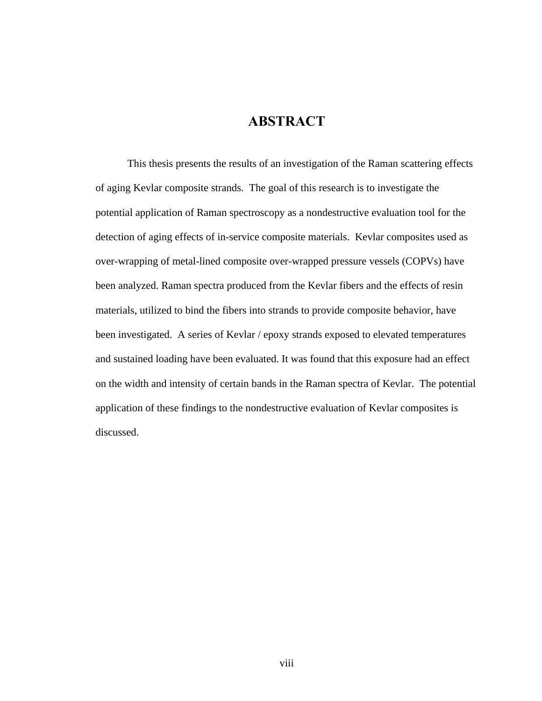## **ABSTRACT**

This thesis presents the results of an investigation of the Raman scattering effects of aging Kevlar composite strands. The goal of this research is to investigate the potential application of Raman spectroscopy as a nondestructive evaluation tool for the detection of aging effects of in-service composite materials. Kevlar composites used as over-wrapping of metal-lined composite over-wrapped pressure vessels (COPVs) have been analyzed. Raman spectra produced from the Kevlar fibers and the effects of resin materials, utilized to bind the fibers into strands to provide composite behavior, have been investigated. A series of Kevlar / epoxy strands exposed to elevated temperatures and sustained loading have been evaluated. It was found that this exposure had an effect on the width and intensity of certain bands in the Raman spectra of Kevlar. The potential application of these findings to the nondestructive evaluation of Kevlar composites is discussed.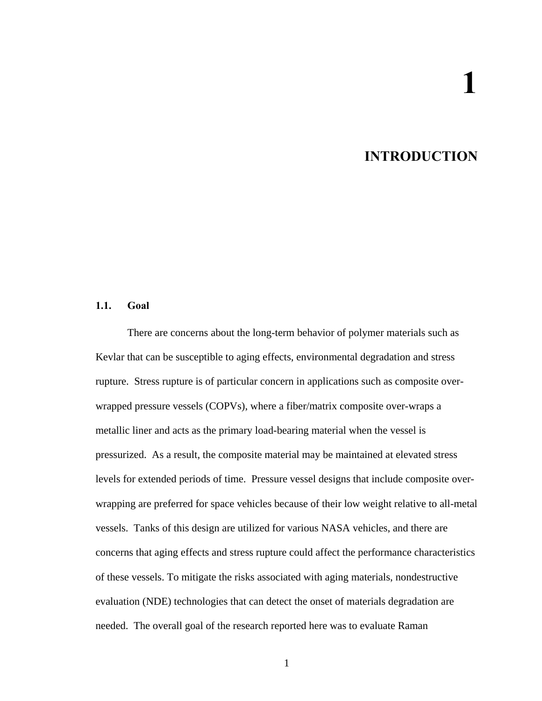## **INTRODUCTION**

#### <span id="page-9-0"></span>**1.1. Goal**

There are concerns about the long-term behavior of polymer materials such as Kevlar that can be susceptible to aging effects, environmental degradation and stress rupture. Stress rupture is of particular concern in applications such as composite overwrapped pressure vessels (COPVs), where a fiber/matrix composite over-wraps a metallic liner and acts as the primary load-bearing material when the vessel is pressurized. As a result, the composite material may be maintained at elevated stress levels for extended periods of time. Pressure vessel designs that include composite overwrapping are preferred for space vehicles because of their low weight relative to all-metal vessels. Tanks of this design are utilized for various NASA vehicles, and there are concerns that aging effects and stress rupture could affect the performance characteristics of these vessels. To mitigate the risks associated with aging materials, nondestructive evaluation (NDE) technologies that can detect the onset of materials degradation are needed. The overall goal of the research reported here was to evaluate Raman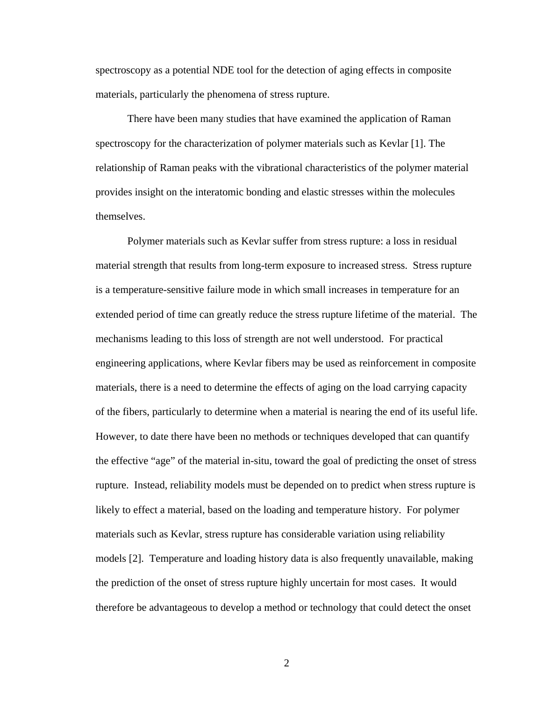spectroscopy as a potential NDE tool for the detection of aging effects in composite materials, particularly the phenomena of stress rupture.

There have been many studies that have examined the application of Raman spectroscopy for the characterization of polymer materials such as Kevlar [1]. The relationship of Raman peaks with the vibrational characteristics of the polymer material provides insight on the interatomic bonding and elastic stresses within the molecules themselves.

Polymer materials such as Kevlar suffer from stress rupture: a loss in residual material strength that results from long-term exposure to increased stress. Stress rupture is a temperature-sensitive failure mode in which small increases in temperature for an extended period of time can greatly reduce the stress rupture lifetime of the material. The mechanisms leading to this loss of strength are not well understood. For practical engineering applications, where Kevlar fibers may be used as reinforcement in composite materials, there is a need to determine the effects of aging on the load carrying capacity of the fibers, particularly to determine when a material is nearing the end of its useful life. However, to date there have been no methods or techniques developed that can quantify the effective "age" of the material in-situ, toward the goal of predicting the onset of stress rupture. Instead, reliability models must be depended on to predict when stress rupture is likely to effect a material, based on the loading and temperature history. For polymer materials such as Kevlar, stress rupture has considerable variation using reliability models [2]. Temperature and loading history data is also frequently unavailable, making the prediction of the onset of stress rupture highly uncertain for most cases. It would therefore be advantageous to develop a method or technology that could detect the onset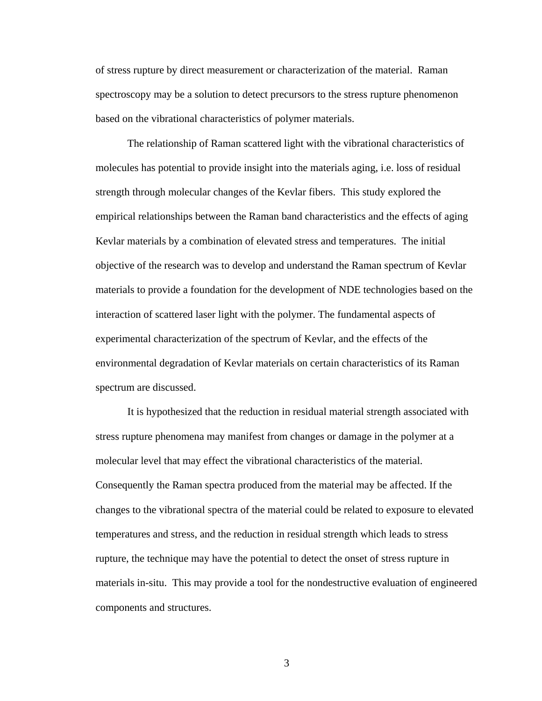of stress rupture by direct measurement or characterization of the material. Raman spectroscopy may be a solution to detect precursors to the stress rupture phenomenon based on the vibrational characteristics of polymer materials.

The relationship of Raman scattered light with the vibrational characteristics of molecules has potential to provide insight into the materials aging, i.e. loss of residual strength through molecular changes of the Kevlar fibers. This study explored the empirical relationships between the Raman band characteristics and the effects of aging Kevlar materials by a combination of elevated stress and temperatures. The initial objective of the research was to develop and understand the Raman spectrum of Kevlar materials to provide a foundation for the development of NDE technologies based on the interaction of scattered laser light with the polymer. The fundamental aspects of experimental characterization of the spectrum of Kevlar, and the effects of the environmental degradation of Kevlar materials on certain characteristics of its Raman spectrum are discussed.

It is hypothesized that the reduction in residual material strength associated with stress rupture phenomena may manifest from changes or damage in the polymer at a molecular level that may effect the vibrational characteristics of the material. Consequently the Raman spectra produced from the material may be affected. If the changes to the vibrational spectra of the material could be related to exposure to elevated temperatures and stress, and the reduction in residual strength which leads to stress rupture, the technique may have the potential to detect the onset of stress rupture in materials in-situ. This may provide a tool for the nondestructive evaluation of engineered components and structures.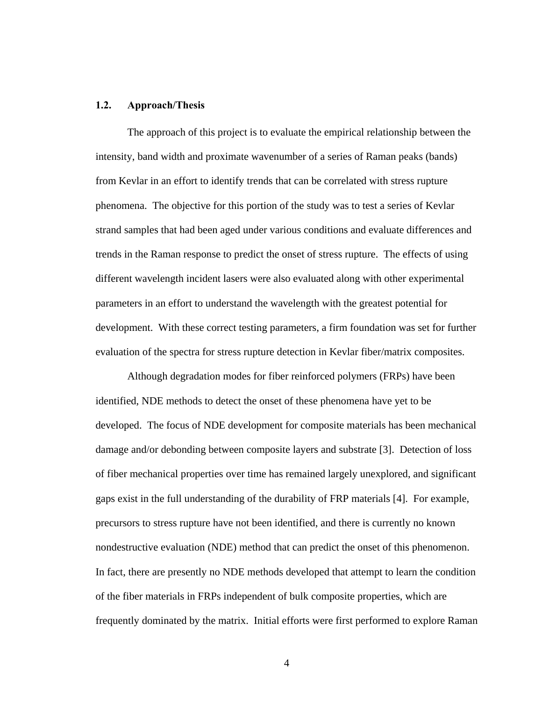#### <span id="page-12-0"></span>**1.2. Approach/Thesis**

The approach of this project is to evaluate the empirical relationship between the intensity, band width and proximate wavenumber of a series of Raman peaks (bands) from Kevlar in an effort to identify trends that can be correlated with stress rupture phenomena. The objective for this portion of the study was to test a series of Kevlar strand samples that had been aged under various conditions and evaluate differences and trends in the Raman response to predict the onset of stress rupture. The effects of using different wavelength incident lasers were also evaluated along with other experimental parameters in an effort to understand the wavelength with the greatest potential for development. With these correct testing parameters, a firm foundation was set for further evaluation of the spectra for stress rupture detection in Kevlar fiber/matrix composites.

Although degradation modes for fiber reinforced polymers (FRPs) have been identified, NDE methods to detect the onset of these phenomena have yet to be developed. The focus of NDE development for composite materials has been mechanical damage and/or debonding between composite layers and substrate [3]. Detection of loss of fiber mechanical properties over time has remained largely unexplored, and significant gaps exist in the full understanding of the durability of FRP materials [4]. For example, precursors to stress rupture have not been identified, and there is currently no known nondestructive evaluation (NDE) method that can predict the onset of this phenomenon. In fact, there are presently no NDE methods developed that attempt to learn the condition of the fiber materials in FRPs independent of bulk composite properties, which are frequently dominated by the matrix. Initial efforts were first performed to explore Raman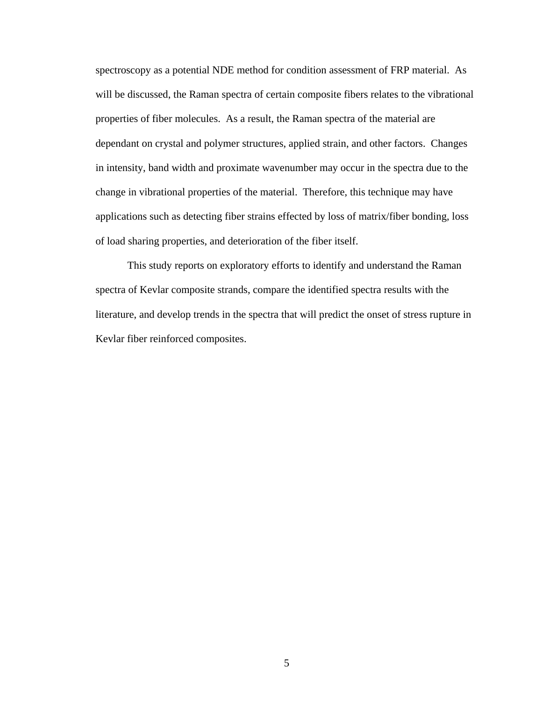spectroscopy as a potential NDE method for condition assessment of FRP material. As will be discussed, the Raman spectra of certain composite fibers relates to the vibrational properties of fiber molecules. As a result, the Raman spectra of the material are dependant on crystal and polymer structures, applied strain, and other factors. Changes in intensity, band width and proximate wavenumber may occur in the spectra due to the change in vibrational properties of the material. Therefore, this technique may have applications such as detecting fiber strains effected by loss of matrix/fiber bonding, loss of load sharing properties, and deterioration of the fiber itself.

This study reports on exploratory efforts to identify and understand the Raman spectra of Kevlar composite strands, compare the identified spectra results with the literature, and develop trends in the spectra that will predict the onset of stress rupture in Kevlar fiber reinforced composites.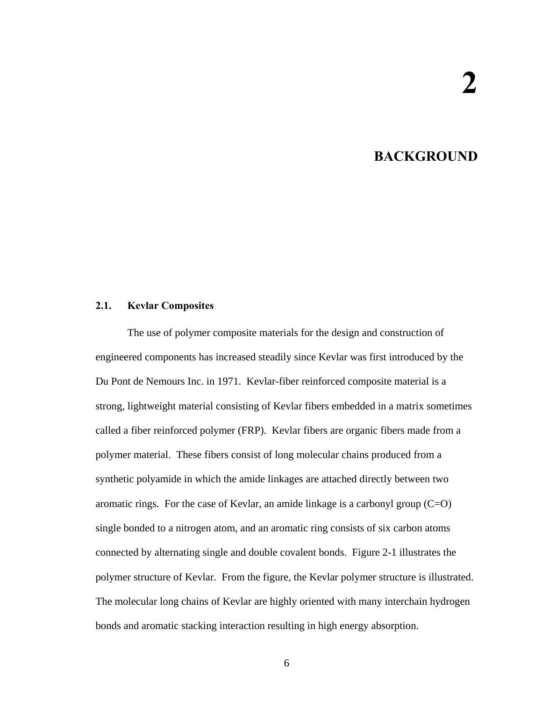## **2. BACKGROUND**

#### <span id="page-14-0"></span>**2.1. Kevlar Composites**

The use of polymer composite materials for the design and construction of engineered components has increased steadily since Kevlar was first introduced by the Du Pont de Nemours Inc. in 1971. Kevlar-fiber reinforced composite material is a strong, lightweight material consisting of Kevlar fibers embedded in a matrix sometimes called a fiber reinforced polymer (FRP). Kevlar fibers are organic fibers made from a polymer material. These fibers consist of long molecular chains produced from a synthetic polyamide in which the amide linkages are attached directly between two aromatic rings. For the case of Kevlar, an amide linkage is a carbonyl group  $(C=O)$ single bonded to a nitrogen atom, and an aromatic ring consists of six carbon atoms connected by alternating single and double covalent bonds. Figure 2-1 illustrates the polymer structure of Kevlar. From the figure, the Kevlar polymer structure is illustrated. The molecular long chains of Kevlar are highly oriented with many interchain hydrogen bonds and aromatic stacking interaction resulting in high energy absorption.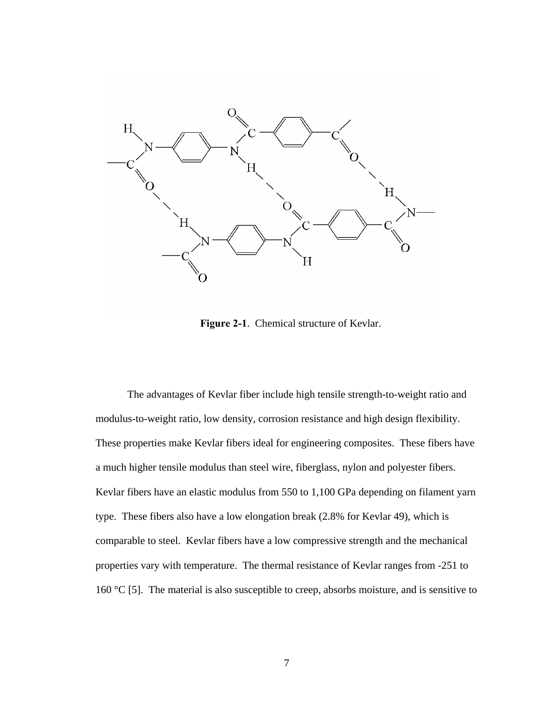

**Figure 2-1**. Chemical structure of Kevlar.

The advantages of Kevlar fiber include high tensile strength-to-weight ratio and modulus-to-weight ratio, low density, corrosion resistance and high design flexibility. These properties make Kevlar fibers ideal for engineering composites. These fibers have a much higher tensile modulus than steel wire, fiberglass, nylon and polyester fibers. Kevlar fibers have an elastic modulus from 550 to 1,100 GPa depending on filament yarn type. These fibers also have a low elongation break (2.8% for Kevlar 49), which is comparable to steel. Kevlar fibers have a low compressive strength and the mechanical properties vary with temperature. The thermal resistance of Kevlar ranges from -251 to 160 °C [5]. The material is also susceptible to creep, absorbs moisture, and is sensitive to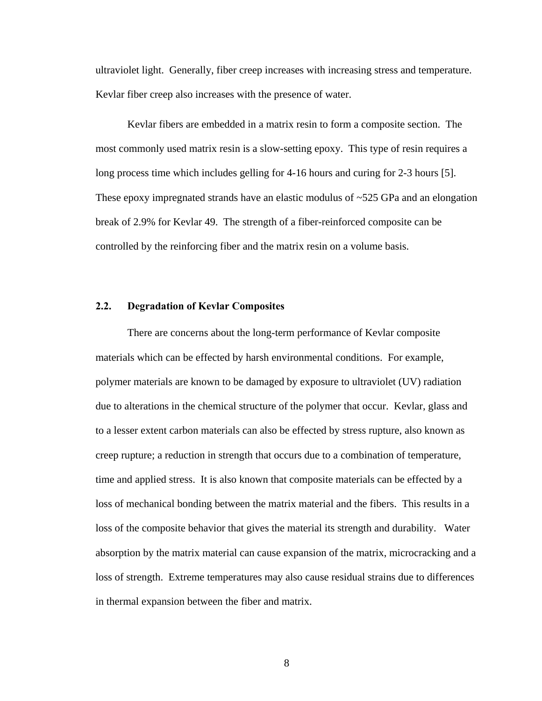<span id="page-16-0"></span>ultraviolet light. Generally, fiber creep increases with increasing stress and temperature. Kevlar fiber creep also increases with the presence of water.

Kevlar fibers are embedded in a matrix resin to form a composite section. The most commonly used matrix resin is a slow-setting epoxy. This type of resin requires a long process time which includes gelling for 4-16 hours and curing for 2-3 hours [5]. These epoxy impregnated strands have an elastic modulus of ~525 GPa and an elongation break of 2.9% for Kevlar 49. The strength of a fiber-reinforced composite can be controlled by the reinforcing fiber and the matrix resin on a volume basis.

#### **2.2. Degradation of Kevlar Composites**

There are concerns about the long-term performance of Kevlar composite materials which can be effected by harsh environmental conditions. For example, polymer materials are known to be damaged by exposure to ultraviolet (UV) radiation due to alterations in the chemical structure of the polymer that occur. Kevlar, glass and to a lesser extent carbon materials can also be effected by stress rupture, also known as creep rupture; a reduction in strength that occurs due to a combination of temperature, time and applied stress. It is also known that composite materials can be effected by a loss of mechanical bonding between the matrix material and the fibers. This results in a loss of the composite behavior that gives the material its strength and durability. Water absorption by the matrix material can cause expansion of the matrix, microcracking and a loss of strength. Extreme temperatures may also cause residual strains due to differences in thermal expansion between the fiber and matrix.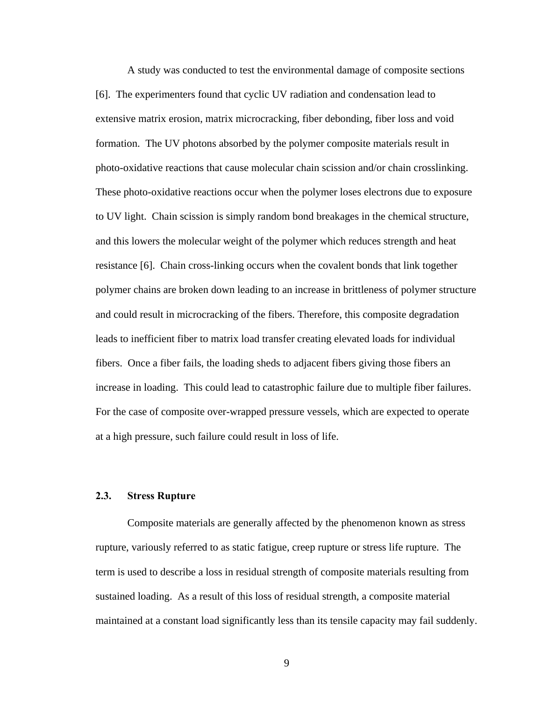<span id="page-17-0"></span>A study was conducted to test the environmental damage of composite sections [6]. The experimenters found that cyclic UV radiation and condensation lead to extensive matrix erosion, matrix microcracking, fiber debonding, fiber loss and void formation. The UV photons absorbed by the polymer composite materials result in photo-oxidative reactions that cause molecular chain scission and/or chain crosslinking. These photo-oxidative reactions occur when the polymer loses electrons due to exposure to UV light. Chain scission is simply random bond breakages in the chemical structure, and this lowers the molecular weight of the polymer which reduces strength and heat resistance [6]. Chain cross-linking occurs when the covalent bonds that link together polymer chains are broken down leading to an increase in brittleness of polymer structure and could result in microcracking of the fibers. Therefore, this composite degradation leads to inefficient fiber to matrix load transfer creating elevated loads for individual fibers. Once a fiber fails, the loading sheds to adjacent fibers giving those fibers an increase in loading. This could lead to catastrophic failure due to multiple fiber failures. For the case of composite over-wrapped pressure vessels, which are expected to operate at a high pressure, such failure could result in loss of life.

### **2.3. Stress Rupture**

Composite materials are generally affected by the phenomenon known as stress rupture, variously referred to as static fatigue, creep rupture or stress life rupture. The term is used to describe a loss in residual strength of composite materials resulting from sustained loading. As a result of this loss of residual strength, a composite material maintained at a constant load significantly less than its tensile capacity may fail suddenly.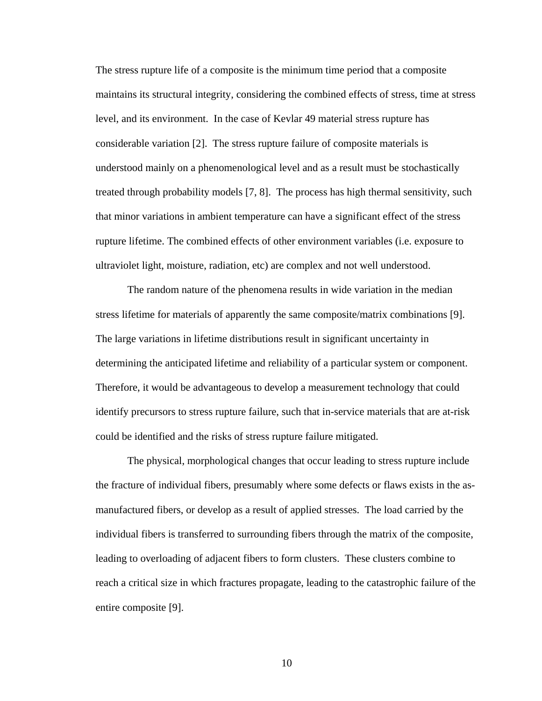The stress rupture life of a composite is the minimum time period that a composite maintains its structural integrity, considering the combined effects of stress, time at stress level, and its environment. In the case of Kevlar 49 material stress rupture has considerable variation [2]. The stress rupture failure of composite materials is understood mainly on a phenomenological level and as a result must be stochastically treated through probability models [7, 8]. The process has high thermal sensitivity, such that minor variations in ambient temperature can have a significant effect of the stress rupture lifetime. The combined effects of other environment variables (i.e. exposure to ultraviolet light, moisture, radiation, etc) are complex and not well understood.

The random nature of the phenomena results in wide variation in the median stress lifetime for materials of apparently the same composite/matrix combinations [9]. The large variations in lifetime distributions result in significant uncertainty in determining the anticipated lifetime and reliability of a particular system or component. Therefore, it would be advantageous to develop a measurement technology that could identify precursors to stress rupture failure, such that in-service materials that are at-risk could be identified and the risks of stress rupture failure mitigated.

The physical, morphological changes that occur leading to stress rupture include the fracture of individual fibers, presumably where some defects or flaws exists in the asmanufactured fibers, or develop as a result of applied stresses. The load carried by the individual fibers is transferred to surrounding fibers through the matrix of the composite, leading to overloading of adjacent fibers to form clusters. These clusters combine to reach a critical size in which fractures propagate, leading to the catastrophic failure of the entire composite [9].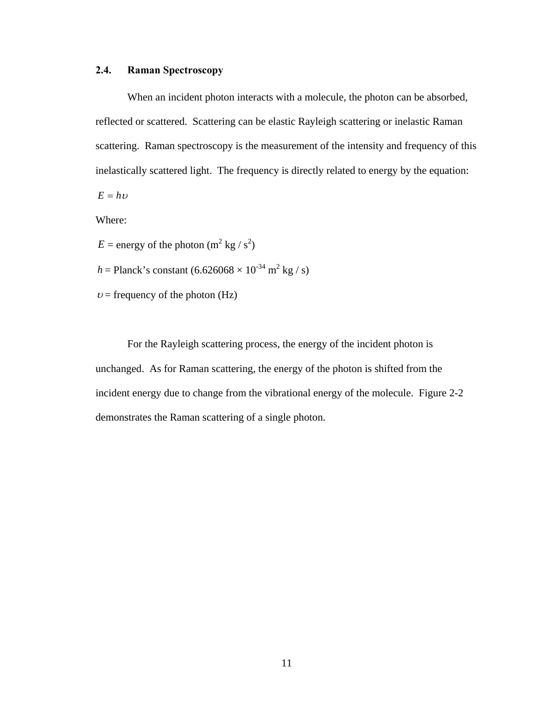### <span id="page-19-0"></span>**2.4. Raman Spectroscopy**

When an incident photon interacts with a molecule, the photon can be absorbed, reflected or scattered. Scattering can be elastic Rayleigh scattering or inelastic Raman scattering. Raman spectroscopy is the measurement of the intensity and frequency of this inelastically scattered light. The frequency is directly related to energy by the equation:

 $E = h\nu$ 

Where:

 $E =$  energy of the photon  $(m^2 kg/s^2)$ 

- *h* = Planck's constant  $(6.626068 \times 10^{-34} \text{ m}^2 \text{ kg} / \text{s})$
- $v =$  frequency of the photon (Hz)

For the Rayleigh scattering process, the energy of the incident photon is unchanged. As for Raman scattering, the energy of the photon is shifted from the incident energy due to change from the vibrational energy of the molecule. Figure 2-2 demonstrates the Raman scattering of a single photon.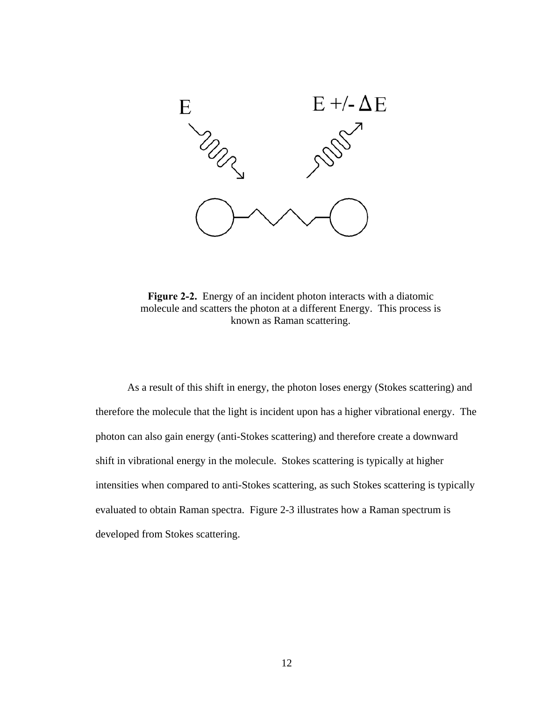

**Figure 2-2.** Energy of an incident photon interacts with a diatomic molecule and scatters the photon at a different Energy. This process is known as Raman scattering.

As a result of this shift in energy, the photon loses energy (Stokes scattering) and therefore the molecule that the light is incident upon has a higher vibrational energy. The photon can also gain energy (anti-Stokes scattering) and therefore create a downward shift in vibrational energy in the molecule. Stokes scattering is typically at higher intensities when compared to anti-Stokes scattering, as such Stokes scattering is typically evaluated to obtain Raman spectra. Figure 2-3 illustrates how a Raman spectrum is developed from Stokes scattering.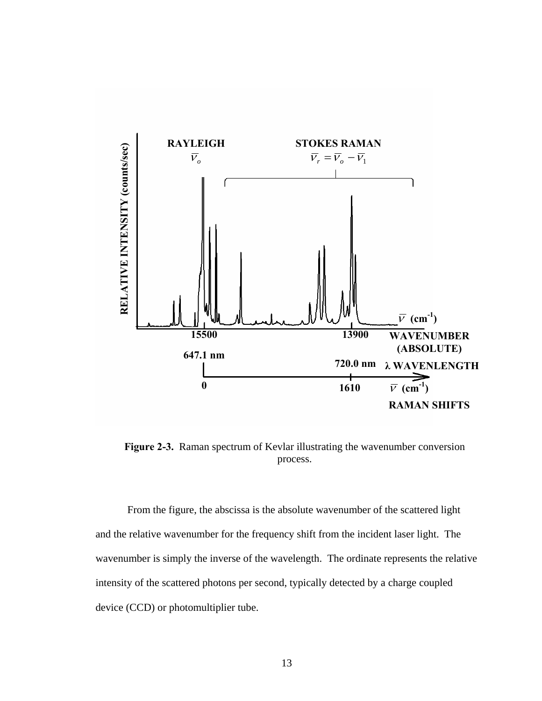

**Figure 2-3.** Raman spectrum of Kevlar illustrating the wavenumber conversion process.

From the figure, the abscissa is the absolute wavenumber of the scattered light and the relative wavenumber for the frequency shift from the incident laser light. The wavenumber is simply the inverse of the wavelength. The ordinate represents the relative intensity of the scattered photons per second, typically detected by a charge coupled device (CCD) or photomultiplier tube.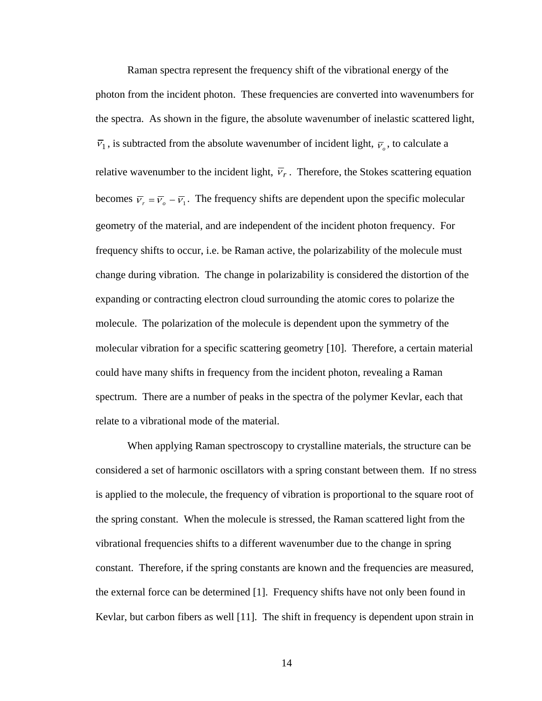Raman spectra represent the frequency shift of the vibrational energy of the photon from the incident photon. These frequencies are converted into wavenumbers for the spectra. As shown in the figure, the absolute wavenumber of inelastic scattered light,  $\overline{v}_1$ , is subtracted from the absolute wavenumber of incident light,  $\overline{v}_0$ , to calculate a relative wavenumber to the incident light,  $\overline{v}_r$ . Therefore, the Stokes scattering equation becomes  $\overline{v}_r = \overline{v}_o - \overline{v}_1$ . The frequency shifts are dependent upon the specific molecular geometry of the material, and are independent of the incident photon frequency. For frequency shifts to occur, i.e. be Raman active, the polarizability of the molecule must change during vibration. The change in polarizability is considered the distortion of the expanding or contracting electron cloud surrounding the atomic cores to polarize the molecule. The polarization of the molecule is dependent upon the symmetry of the molecular vibration for a specific scattering geometry [10]. Therefore, a certain material could have many shifts in frequency from the incident photon, revealing a Raman spectrum. There are a number of peaks in the spectra of the polymer Kevlar, each that relate to a vibrational mode of the material.

When applying Raman spectroscopy to crystalline materials, the structure can be considered a set of harmonic oscillators with a spring constant between them. If no stress is applied to the molecule, the frequency of vibration is proportional to the square root of the spring constant. When the molecule is stressed, the Raman scattered light from the vibrational frequencies shifts to a different wavenumber due to the change in spring constant. Therefore, if the spring constants are known and the frequencies are measured, the external force can be determined [1]. Frequency shifts have not only been found in Kevlar, but carbon fibers as well [11]. The shift in frequency is dependent upon strain in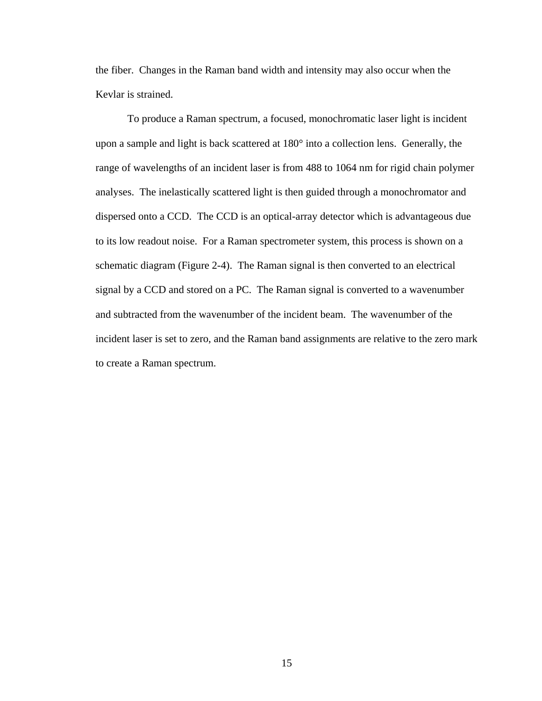the fiber. Changes in the Raman band width and intensity may also occur when the Kevlar is strained.

To produce a Raman spectrum, a focused, monochromatic laser light is incident upon a sample and light is back scattered at 180° into a collection lens. Generally, the range of wavelengths of an incident laser is from 488 to 1064 nm for rigid chain polymer analyses. The inelastically scattered light is then guided through a monochromator and dispersed onto a CCD. The CCD is an optical-array detector which is advantageous due to its low readout noise. For a Raman spectrometer system, this process is shown on a schematic diagram (Figure 2-4). The Raman signal is then converted to an electrical signal by a CCD and stored on a PC. The Raman signal is converted to a wavenumber and subtracted from the wavenumber of the incident beam. The wavenumber of the incident laser is set to zero, and the Raman band assignments are relative to the zero mark to create a Raman spectrum.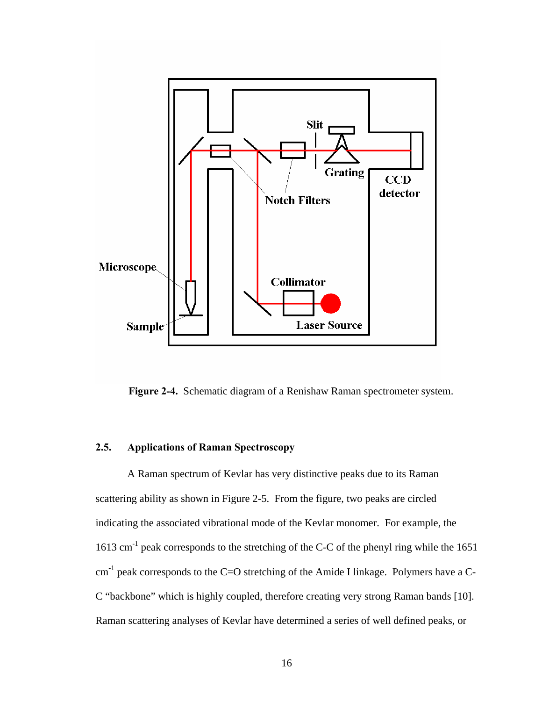<span id="page-24-0"></span>

**Figure 2-4.** Schematic diagram of a Renishaw Raman spectrometer system.

#### **2.5. Applications of Raman Spectroscopy**

A Raman spectrum of Kevlar has very distinctive peaks due to its Raman scattering ability as shown in Figure 2-5. From the figure, two peaks are circled indicating the associated vibrational mode of the Kevlar monomer. For example, the 1613 cm<sup>-1</sup> peak corresponds to the stretching of the C-C of the phenyl ring while the 1651  $cm^{-1}$  peak corresponds to the C=O stretching of the Amide I linkage. Polymers have a C-C "backbone" which is highly coupled, therefore creating very strong Raman bands [10]. Raman scattering analyses of Kevlar have determined a series of well defined peaks, or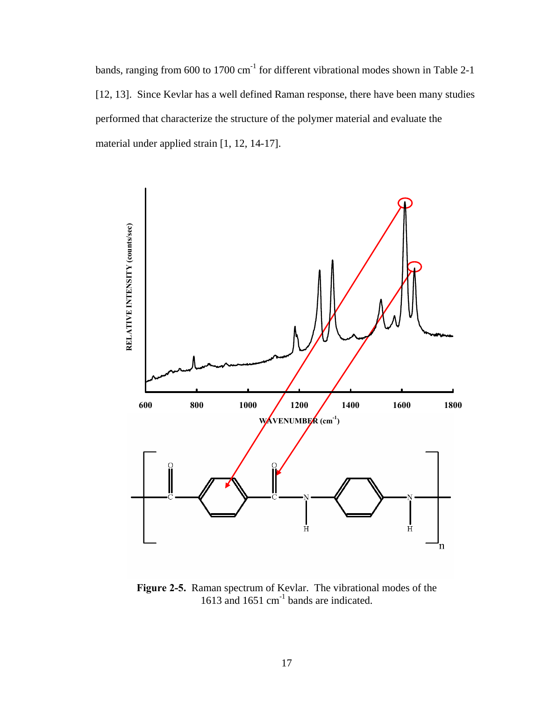bands, ranging from 600 to 1700 cm<sup>-1</sup> for different vibrational modes shown in Table 2-1 [12, 13]. Since Kevlar has a well defined Raman response, there have been many studies performed that characterize the structure of the polymer material and evaluate the material under applied strain [1, 12, 14-17].



**Figure 2-5.** Raman spectrum of Kevlar. The vibrational modes of the 1613 and 1651 cm<sup>-1</sup> bands are indicated.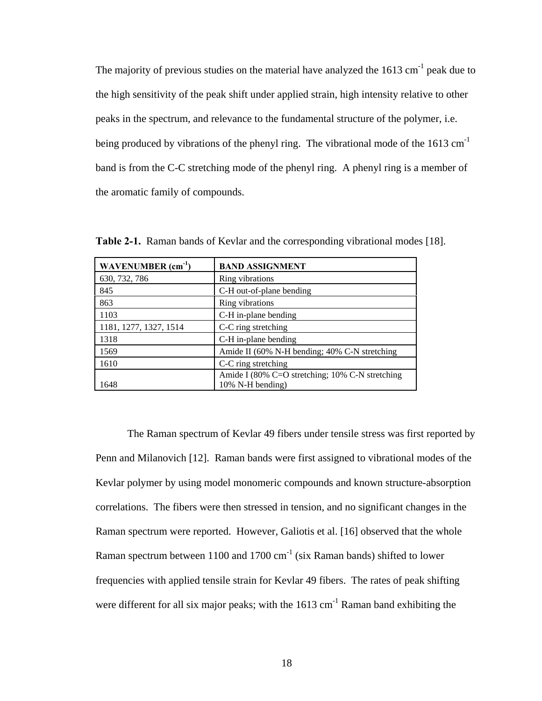The majority of previous studies on the material have analyzed the  $1613 \text{ cm}^{-1}$  peak due to the high sensitivity of the peak shift under applied strain, high intensity relative to other peaks in the spectrum, and relevance to the fundamental structure of the polymer, i.e. being produced by vibrations of the phenyl ring. The vibrational mode of the 1613 cm<sup>-1</sup> band is from the C-C stretching mode of the phenyl ring. A phenyl ring is a member of the aromatic family of compounds.

| WAVENUMBER $(cm-1)$    | <b>BAND ASSIGNMENT</b>                                              |
|------------------------|---------------------------------------------------------------------|
| 630, 732, 786          | Ring vibrations                                                     |
| 845                    | C-H out-of-plane bending                                            |
| 863                    | Ring vibrations                                                     |
| 1103                   | C-H in-plane bending                                                |
| 1181, 1277, 1327, 1514 | C-C ring stretching                                                 |
| 1318                   | C-H in-plane bending                                                |
| 1569                   | Amide II (60% N-H bending; 40% C-N stretching                       |
| 1610                   | C-C ring stretching                                                 |
| 1648                   | Amide I (80% C=O stretching; 10% C-N stretching<br>10% N-H bending) |

**Table 2-1.** Raman bands of Kevlar and the corresponding vibrational modes [18].

The Raman spectrum of Kevlar 49 fibers under tensile stress was first reported by Penn and Milanovich [12]. Raman bands were first assigned to vibrational modes of the Kevlar polymer by using model monomeric compounds and known structure-absorption correlations. The fibers were then stressed in tension, and no significant changes in the Raman spectrum were reported. However, Galiotis et al. [16] observed that the whole Raman spectrum between 1100 and 1700  $\text{cm}^{-1}$  (six Raman bands) shifted to lower frequencies with applied tensile strain for Kevlar 49 fibers. The rates of peak shifting were different for all six major peaks; with the  $1613 \text{ cm}^{-1}$  Raman band exhibiting the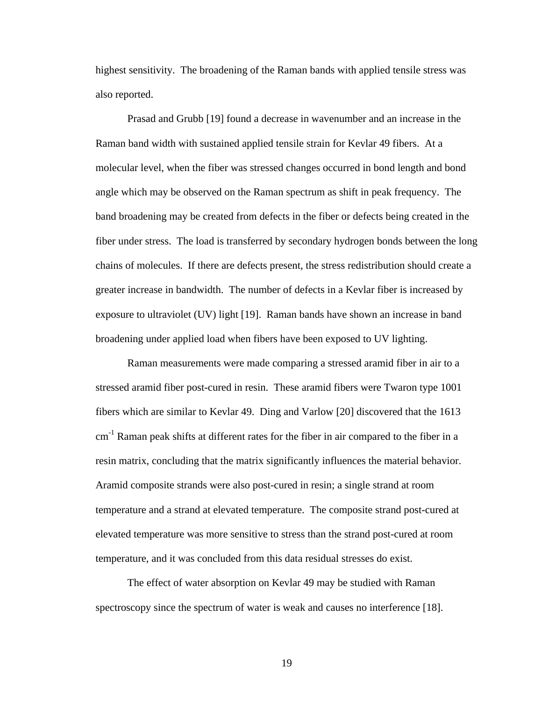highest sensitivity. The broadening of the Raman bands with applied tensile stress was also reported.

Prasad and Grubb [19] found a decrease in wavenumber and an increase in the Raman band width with sustained applied tensile strain for Kevlar 49 fibers. At a molecular level, when the fiber was stressed changes occurred in bond length and bond angle which may be observed on the Raman spectrum as shift in peak frequency. The band broadening may be created from defects in the fiber or defects being created in the fiber under stress. The load is transferred by secondary hydrogen bonds between the long chains of molecules. If there are defects present, the stress redistribution should create a greater increase in bandwidth. The number of defects in a Kevlar fiber is increased by exposure to ultraviolet (UV) light [19]. Raman bands have shown an increase in band broadening under applied load when fibers have been exposed to UV lighting.

Raman measurements were made comparing a stressed aramid fiber in air to a stressed aramid fiber post-cured in resin. These aramid fibers were Twaron type 1001 fibers which are similar to Kevlar 49. Ding and Varlow [20] discovered that the 1613  $cm<sup>-1</sup>$  Raman peak shifts at different rates for the fiber in air compared to the fiber in a resin matrix, concluding that the matrix significantly influences the material behavior. Aramid composite strands were also post-cured in resin; a single strand at room temperature and a strand at elevated temperature. The composite strand post-cured at elevated temperature was more sensitive to stress than the strand post-cured at room temperature, and it was concluded from this data residual stresses do exist.

The effect of water absorption on Kevlar 49 may be studied with Raman spectroscopy since the spectrum of water is weak and causes no interference [18].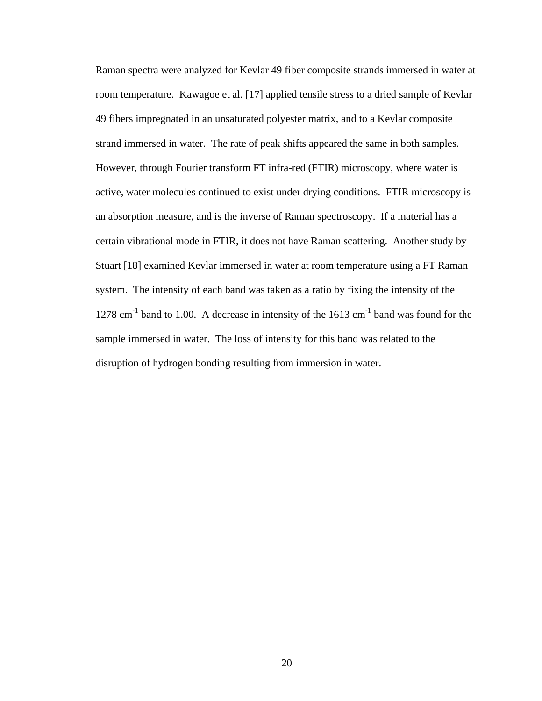Raman spectra were analyzed for Kevlar 49 fiber composite strands immersed in water at room temperature. Kawagoe et al. [17] applied tensile stress to a dried sample of Kevlar 49 fibers impregnated in an unsaturated polyester matrix, and to a Kevlar composite strand immersed in water. The rate of peak shifts appeared the same in both samples. However, through Fourier transform FT infra-red (FTIR) microscopy, where water is active, water molecules continued to exist under drying conditions. FTIR microscopy is an absorption measure, and is the inverse of Raman spectroscopy. If a material has a certain vibrational mode in FTIR, it does not have Raman scattering. Another study by Stuart [18] examined Kevlar immersed in water at room temperature using a FT Raman system. The intensity of each band was taken as a ratio by fixing the intensity of the  $1278$  cm<sup>-1</sup> band to 1.00. A decrease in intensity of the 1613 cm<sup>-1</sup> band was found for the sample immersed in water. The loss of intensity for this band was related to the disruption of hydrogen bonding resulting from immersion in water.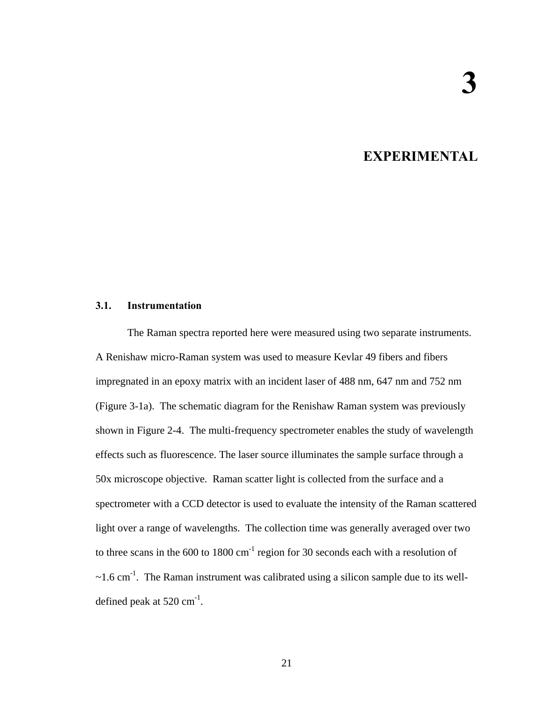## **3. EXPERIMENTAL**

#### <span id="page-29-0"></span>**3.1. Instrumentation**

The Raman spectra reported here were measured using two separate instruments. A Renishaw micro-Raman system was used to measure Kevlar 49 fibers and fibers impregnated in an epoxy matrix with an incident laser of 488 nm, 647 nm and 752 nm (Figure 3-1a). The schematic diagram for the Renishaw Raman system was previously shown in Figure 2-4. The multi-frequency spectrometer enables the study of wavelength effects such as fluorescence. The laser source illuminates the sample surface through a 50x microscope objective. Raman scatter light is collected from the surface and a spectrometer with a CCD detector is used to evaluate the intensity of the Raman scattered light over a range of wavelengths. The collection time was generally averaged over two to three scans in the  $600$  to  $1800 \text{ cm}^{-1}$  region for 30 seconds each with a resolution of  $\sim$ 1.6 cm<sup>-1</sup>. The Raman instrument was calibrated using a silicon sample due to its welldefined peak at  $520 \text{ cm}^{-1}$ .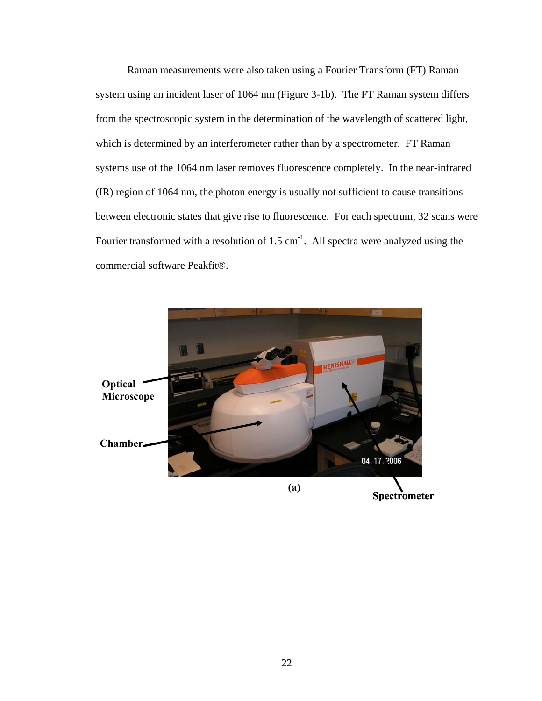Raman measurements were also taken using a Fourier Transform (FT) Raman system using an incident laser of 1064 nm (Figure 3-1b). The FT Raman system differs from the spectroscopic system in the determination of the wavelength of scattered light, which is determined by an interferometer rather than by a spectrometer. FT Raman systems use of the 1064 nm laser removes fluorescence completely. In the near-infrared (IR) region of 1064 nm, the photon energy is usually not sufficient to cause transitions between electronic states that give rise to fluorescence. For each spectrum, 32 scans were Fourier transformed with a resolution of  $1.5 \text{ cm}^{-1}$ . All spectra were analyzed using the commercial software Peakfit®.

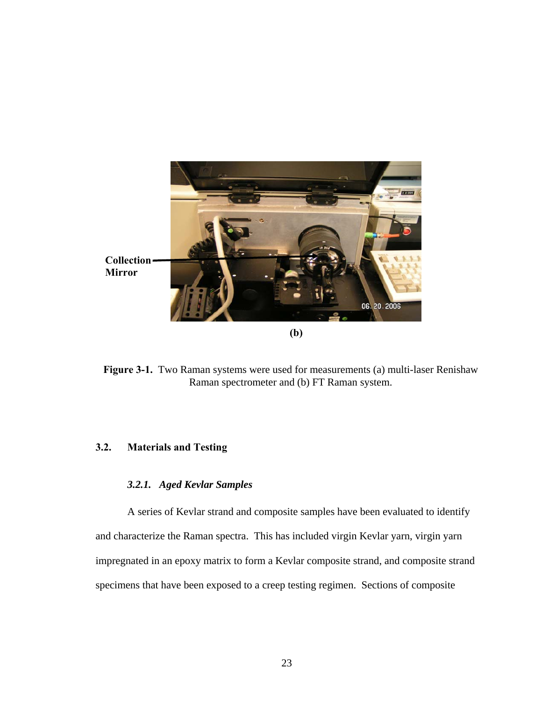<span id="page-31-0"></span>

**Figure 3-1.** Two Raman systems were used for measurements (a) multi-laser Renishaw Raman spectrometer and (b) FT Raman system.

### **3.2. Materials and Testing**

## *3.2.1. Aged Kevlar Samples*

A series of Kevlar strand and composite samples have been evaluated to identify and characterize the Raman spectra. This has included virgin Kevlar yarn, virgin yarn impregnated in an epoxy matrix to form a Kevlar composite strand, and composite strand specimens that have been exposed to a creep testing regimen. Sections of composite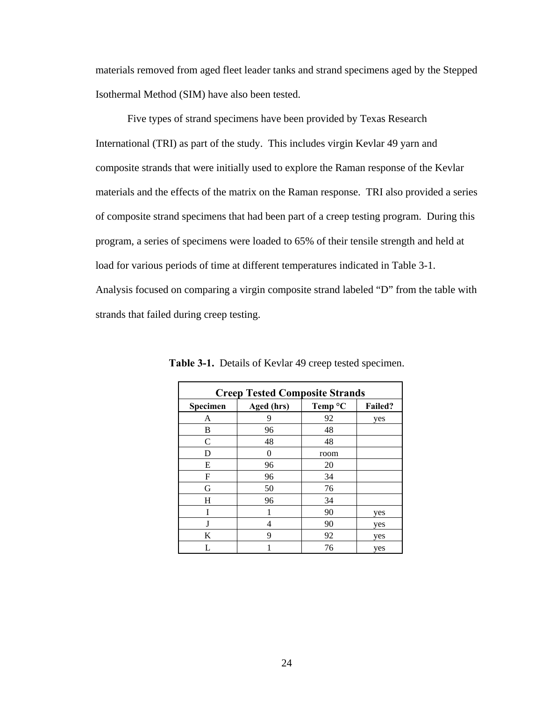materials removed from aged fleet leader tanks and strand specimens aged by the Stepped Isothermal Method (SIM) have also been tested.

Five types of strand specimens have been provided by Texas Research International (TRI) as part of the study. This includes virgin Kevlar 49 yarn and composite strands that were initially used to explore the Raman response of the Kevlar materials and the effects of the matrix on the Raman response. TRI also provided a series of composite strand specimens that had been part of a creep testing program. During this program, a series of specimens were loaded to 65% of their tensile strength and held at load for various periods of time at different temperatures indicated in Table 3-1. Analysis focused on comparing a virgin composite strand labeled "D" from the table with strands that failed during creep testing.

| <b>Creep Tested Composite Strands</b> |            |         |                |
|---------------------------------------|------------|---------|----------------|
| Specimen                              | Aged (hrs) | Temp °C | <b>Failed?</b> |
| A                                     | 9          | 92      | yes            |
| В                                     | 96         | 48      |                |
| C                                     | 48         | 48      |                |
| D                                     | $\theta$   | room    |                |
| E                                     | 96         | 20      |                |
| F                                     | 96         | 34      |                |
| G                                     | 50         | 76      |                |
| H                                     | 96         | 34      |                |
| I                                     | 1          | 90      | yes            |
| J                                     | 4          | 90      | yes            |
| K                                     | 9          | 92      | yes            |
|                                       |            | 76      | yes            |

**Table 3-1.** Details of Kevlar 49 creep tested specimen.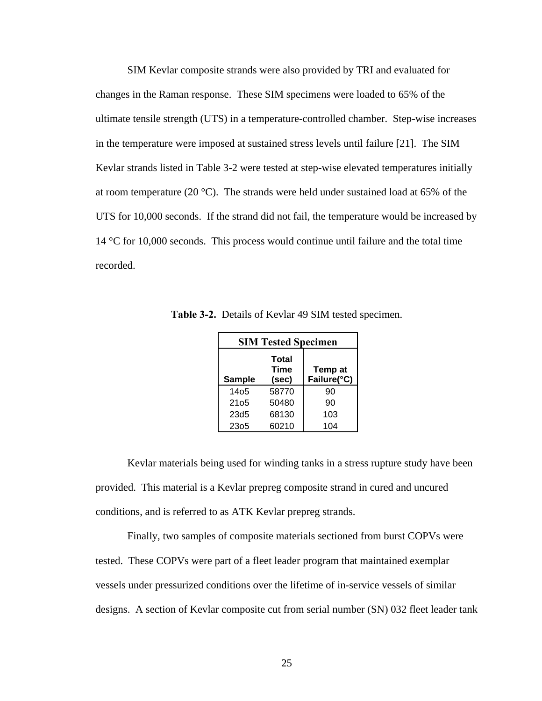SIM Kevlar composite strands were also provided by TRI and evaluated for changes in the Raman response. These SIM specimens were loaded to 65% of the ultimate tensile strength (UTS) in a temperature-controlled chamber. Step-wise increases in the temperature were imposed at sustained stress levels until failure [21]. The SIM Kevlar strands listed in Table 3-2 were tested at step-wise elevated temperatures initially at room temperature (20  $^{\circ}$ C). The strands were held under sustained load at 65% of the UTS for 10,000 seconds. If the strand did not fail, the temperature would be increased by 14 °C for 10,000 seconds. This process would continue until failure and the total time recorded.

|               | <b>SIM Tested Specimen</b>           |                        |
|---------------|--------------------------------------|------------------------|
| <b>Sample</b> | <b>Total</b><br><b>Time</b><br>(sec) | Temp at<br>Failure(°C) |
| 1405          | 58770                                | 90                     |
| 2105          | 50480                                | 90                     |
| 23d5          | 68130                                | 103                    |
| 2305          | 60210                                | 104                    |

**Table 3-2.** Details of Kevlar 49 SIM tested specimen.

Kevlar materials being used for winding tanks in a stress rupture study have been provided. This material is a Kevlar prepreg composite strand in cured and uncured conditions, and is referred to as ATK Kevlar prepreg strands.

Finally, two samples of composite materials sectioned from burst COPVs were tested. These COPVs were part of a fleet leader program that maintained exemplar vessels under pressurized conditions over the lifetime of in-service vessels of similar designs. A section of Kevlar composite cut from serial number (SN) 032 fleet leader tank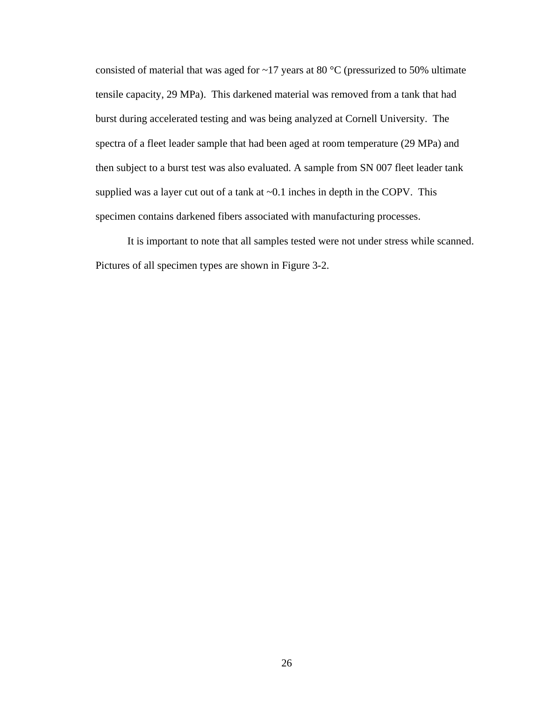consisted of material that was aged for  $\sim$ 17 years at 80 °C (pressurized to 50% ultimate tensile capacity, 29 MPa). This darkened material was removed from a tank that had burst during accelerated testing and was being analyzed at Cornell University. The spectra of a fleet leader sample that had been aged at room temperature (29 MPa) and then subject to a burst test was also evaluated. A sample from SN 007 fleet leader tank supplied was a layer cut out of a tank at  $\sim 0.1$  inches in depth in the COPV. This specimen contains darkened fibers associated with manufacturing processes.

It is important to note that all samples tested were not under stress while scanned. Pictures of all specimen types are shown in Figure 3-2.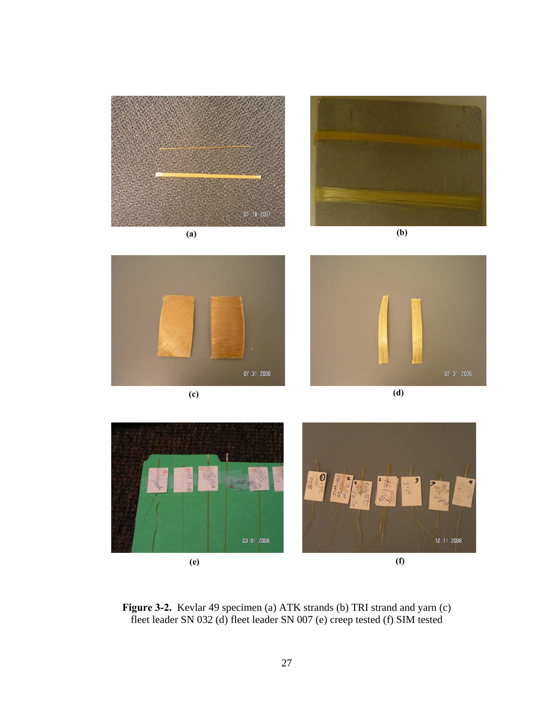

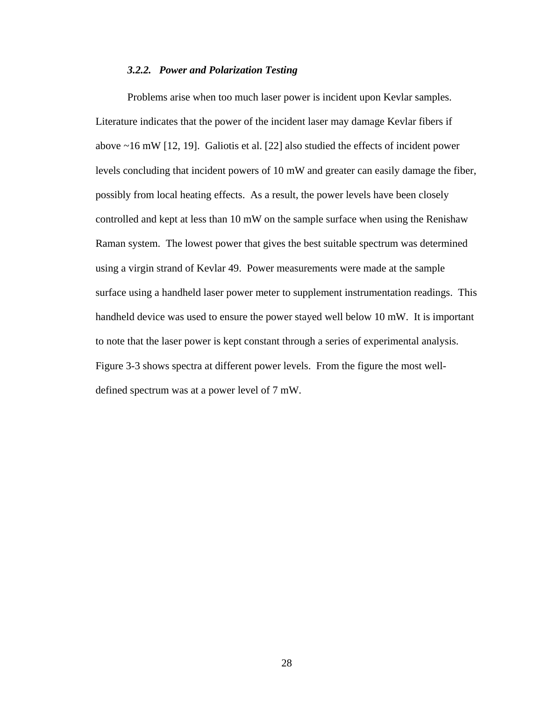#### *3.2.2. Power and Polarization Testing*

Problems arise when too much laser power is incident upon Kevlar samples. Literature indicates that the power of the incident laser may damage Kevlar fibers if above ~16 mW [12, 19]. Galiotis et al. [22] also studied the effects of incident power levels concluding that incident powers of 10 mW and greater can easily damage the fiber, possibly from local heating effects. As a result, the power levels have been closely controlled and kept at less than 10 mW on the sample surface when using the Renishaw Raman system. The lowest power that gives the best suitable spectrum was determined using a virgin strand of Kevlar 49. Power measurements were made at the sample surface using a handheld laser power meter to supplement instrumentation readings. This handheld device was used to ensure the power stayed well below 10 mW. It is important to note that the laser power is kept constant through a series of experimental analysis. Figure 3-3 shows spectra at different power levels. From the figure the most welldefined spectrum was at a power level of 7 mW.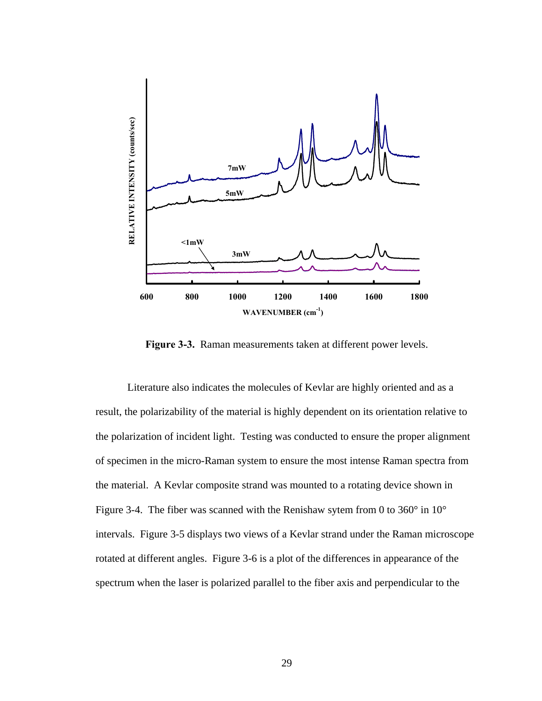

**Figure 3-3.** Raman measurements taken at different power levels.

Literature also indicates the molecules of Kevlar are highly oriented and as a result, the polarizability of the material is highly dependent on its orientation relative to the polarization of incident light. Testing was conducted to ensure the proper alignment of specimen in the micro-Raman system to ensure the most intense Raman spectra from the material. A Kevlar composite strand was mounted to a rotating device shown in Figure 3-4. The fiber was scanned with the Renishaw sytem from 0 to 360 $^{\circ}$  in 10 $^{\circ}$ intervals. Figure 3-5 displays two views of a Kevlar strand under the Raman microscope rotated at different angles. Figure 3-6 is a plot of the differences in appearance of the spectrum when the laser is polarized parallel to the fiber axis and perpendicular to the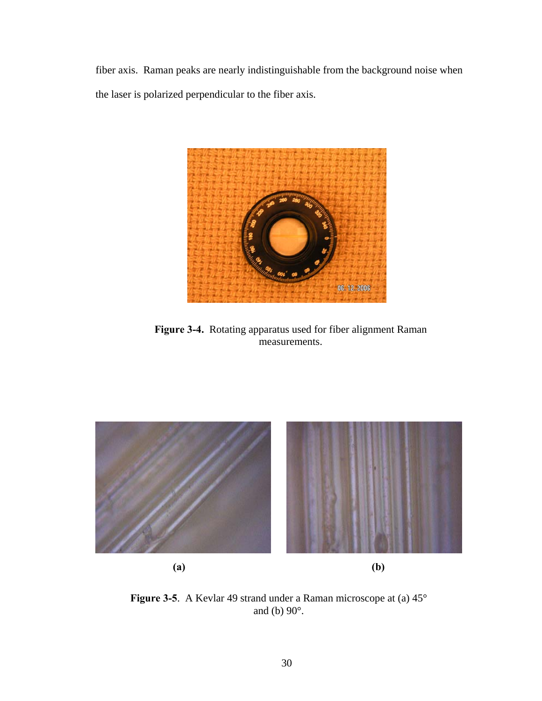fiber axis. Raman peaks are nearly indistinguishable from the background noise when the laser is polarized perpendicular to the fiber axis.



**Figure 3-4.** Rotating apparatus used for fiber alignment Raman measurements.



**Figure 3-5**. A Kevlar 49 strand under a Raman microscope at (a) 45° and (b) 90°.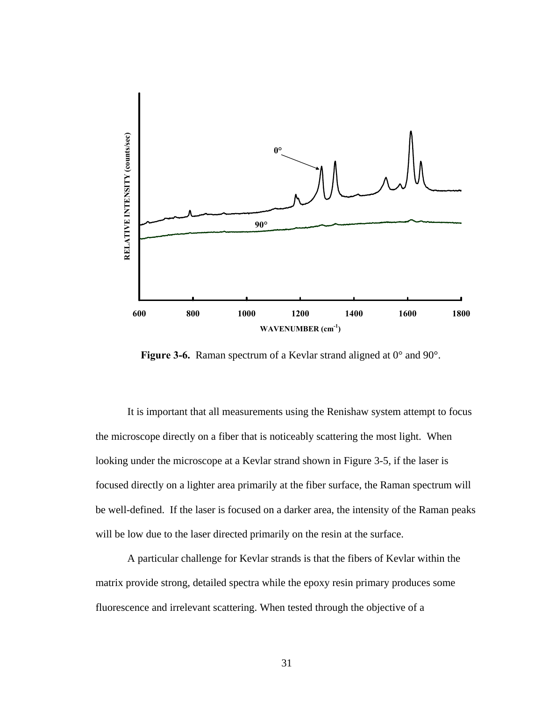

Figure 3-6. Raman spectrum of a Kevlar strand aligned at  $0^{\circ}$  and  $90^{\circ}$ .

It is important that all measurements using the Renishaw system attempt to focus the microscope directly on a fiber that is noticeably scattering the most light. When looking under the microscope at a Kevlar strand shown in Figure 3-5, if the laser is focused directly on a lighter area primarily at the fiber surface, the Raman spectrum will be well-defined. If the laser is focused on a darker area, the intensity of the Raman peaks will be low due to the laser directed primarily on the resin at the surface.

A particular challenge for Kevlar strands is that the fibers of Kevlar within the matrix provide strong, detailed spectra while the epoxy resin primary produces some fluorescence and irrelevant scattering. When tested through the objective of a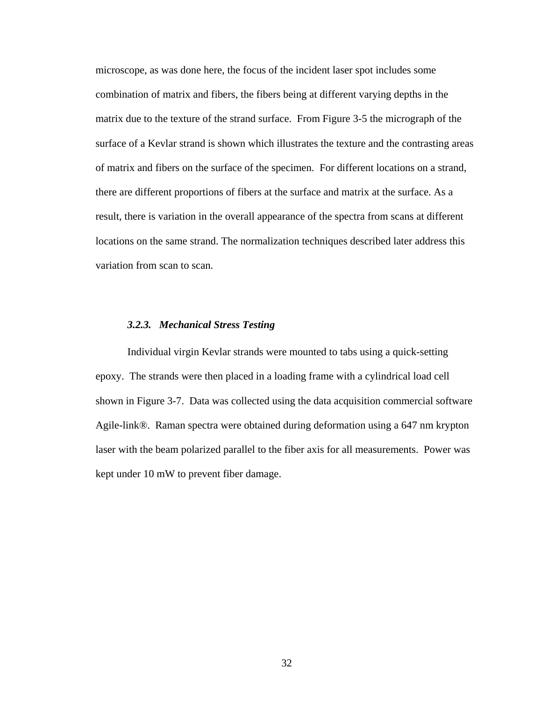microscope, as was done here, the focus of the incident laser spot includes some combination of matrix and fibers, the fibers being at different varying depths in the matrix due to the texture of the strand surface. From Figure 3-5 the micrograph of the surface of a Kevlar strand is shown which illustrates the texture and the contrasting areas of matrix and fibers on the surface of the specimen. For different locations on a strand, there are different proportions of fibers at the surface and matrix at the surface. As a result, there is variation in the overall appearance of the spectra from scans at different locations on the same strand. The normalization techniques described later address this variation from scan to scan.

#### *3.2.3. Mechanical Stress Testing*

Individual virgin Kevlar strands were mounted to tabs using a quick-setting epoxy. The strands were then placed in a loading frame with a cylindrical load cell shown in Figure 3-7. Data was collected using the data acquisition commercial software Agile-link®. Raman spectra were obtained during deformation using a 647 nm krypton laser with the beam polarized parallel to the fiber axis for all measurements. Power was kept under 10 mW to prevent fiber damage.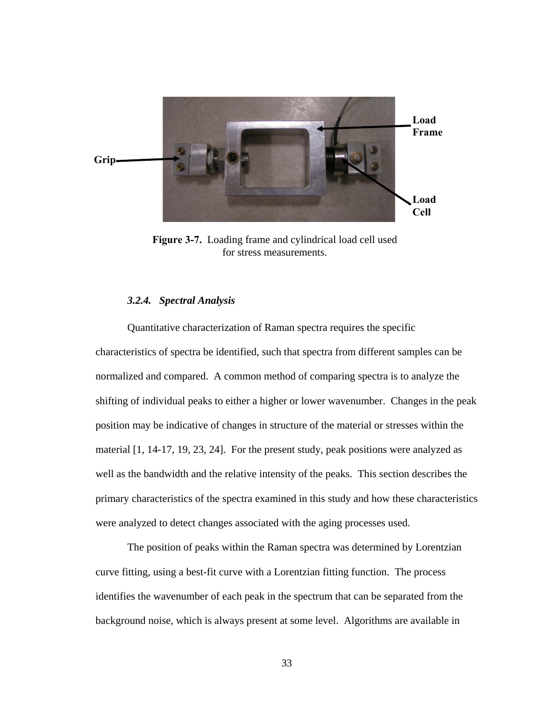

**Figure 3-7.** Loading frame and cylindrical load cell used for stress measurements.

## *3.2.4. Spectral Analysis*

Quantitative characterization of Raman spectra requires the specific characteristics of spectra be identified, such that spectra from different samples can be normalized and compared. A common method of comparing spectra is to analyze the shifting of individual peaks to either a higher or lower wavenumber. Changes in the peak position may be indicative of changes in structure of the material or stresses within the material [1, 14-17, 19, 23, 24]. For the present study, peak positions were analyzed as well as the bandwidth and the relative intensity of the peaks. This section describes the primary characteristics of the spectra examined in this study and how these characteristics were analyzed to detect changes associated with the aging processes used.

The position of peaks within the Raman spectra was determined by Lorentzian curve fitting, using a best-fit curve with a Lorentzian fitting function. The process identifies the wavenumber of each peak in the spectrum that can be separated from the background noise, which is always present at some level. Algorithms are available in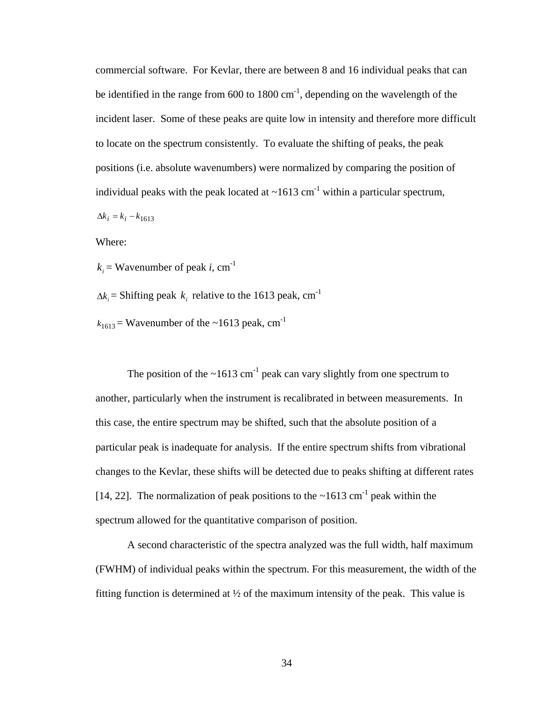commercial software. For Kevlar, there are between 8 and 16 individual peaks that can be identified in the range from  $600$  to  $1800 \text{ cm}^{-1}$ , depending on the wavelength of the incident laser. Some of these peaks are quite low in intensity and therefore more difficult to locate on the spectrum consistently. To evaluate the shifting of peaks, the peak positions (i.e. absolute wavenumbers) were normalized by comparing the position of individual peaks with the peak located at  $\sim 1613$  cm<sup>-1</sup> within a particular spectrum,  $\Delta k_i = k_i - k_{1613}$ 

Where:

 $k_i$  = Wavenumber of peak *i*, cm<sup>-1</sup>

 $\Delta k_i$  = Shifting peak  $k_i$  relative to the 1613 peak, cm<sup>-1</sup>

 $k_{1613}$  = Wavenumber of the ~1613 peak, cm<sup>-1</sup>

The position of the  $\sim 1613$  cm<sup>-1</sup> peak can vary slightly from one spectrum to another, particularly when the instrument is recalibrated in between measurements. In this case, the entire spectrum may be shifted, such that the absolute position of a particular peak is inadequate for analysis. If the entire spectrum shifts from vibrational changes to the Kevlar, these shifts will be detected due to peaks shifting at different rates [14, 22]. The normalization of peak positions to the  $\sim$ 1613 cm<sup>-1</sup> peak within the spectrum allowed for the quantitative comparison of position.

A second characteristic of the spectra analyzed was the full width, half maximum (FWHM) of individual peaks within the spectrum. For this measurement, the width of the fitting function is determined at  $\frac{1}{2}$  of the maximum intensity of the peak. This value is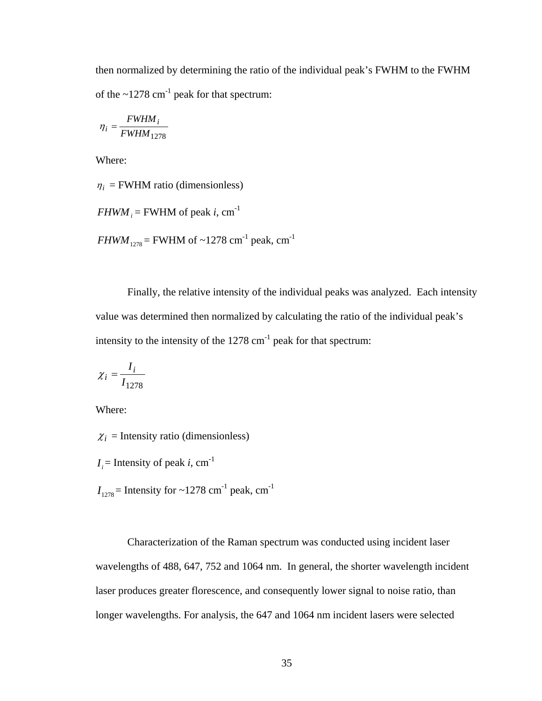then normalized by determining the ratio of the individual peak's FWHM to the FWHM of the  $\sim$ 1278 cm<sup>-1</sup> peak for that spectrum:

$$
\eta_i = \frac{FWHM_i}{FWHM_{1278}}
$$

Where:

 $\eta_i$  = FWHM ratio (dimensionless)

 $FHWM_i = FWHM$  of peak *i*,  $cm^{-1}$ 

*FHWM*<sub>1278</sub> = FWHM of ~1278 cm<sup>-1</sup> peak, cm<sup>-1</sup>

Finally, the relative intensity of the individual peaks was analyzed. Each intensity value was determined then normalized by calculating the ratio of the individual peak's intensity to the intensity of the  $1278 \text{ cm}^{-1}$  peak for that spectrum:

$$
\chi_i = \frac{I_i}{I_{1278}}
$$

Where:

 $\chi_i$  = Intensity ratio (dimensionless)

 $I_i$  = Intensity of peak *i*, cm<sup>-1</sup>

 $I<sub>1278</sub>$  = Intensity for ~1278 cm<sup>-1</sup> peak, cm<sup>-1</sup>

Characterization of the Raman spectrum was conducted using incident laser wavelengths of 488, 647, 752 and 1064 nm. In general, the shorter wavelength incident laser produces greater florescence, and consequently lower signal to noise ratio, than longer wavelengths. For analysis, the 647 and 1064 nm incident lasers were selected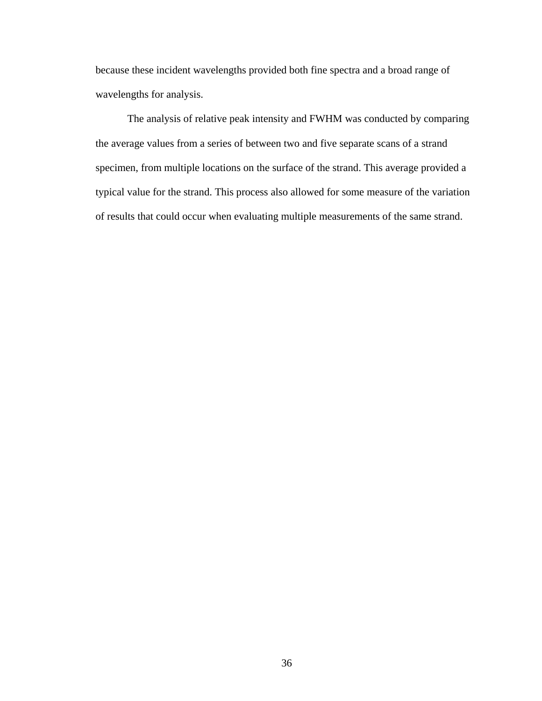because these incident wavelengths provided both fine spectra and a broad range of wavelengths for analysis.

The analysis of relative peak intensity and FWHM was conducted by comparing the average values from a series of between two and five separate scans of a strand specimen, from multiple locations on the surface of the strand. This average provided a typical value for the strand. This process also allowed for some measure of the variation of results that could occur when evaluating multiple measurements of the same strand.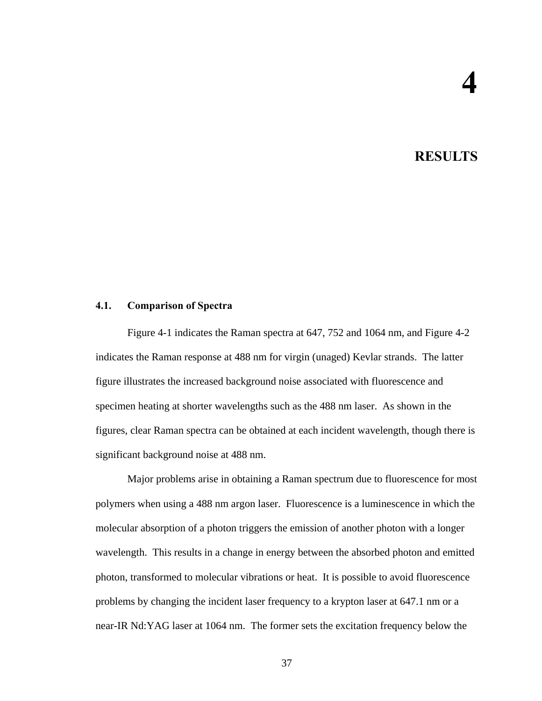# **4. RESULTS**

## **4.1. Comparison of Spectra**

Figure 4-1 indicates the Raman spectra at 647, 752 and 1064 nm, and Figure 4-2 indicates the Raman response at 488 nm for virgin (unaged) Kevlar strands. The latter figure illustrates the increased background noise associated with fluorescence and specimen heating at shorter wavelengths such as the 488 nm laser. As shown in the figures, clear Raman spectra can be obtained at each incident wavelength, though there is significant background noise at 488 nm.

Major problems arise in obtaining a Raman spectrum due to fluorescence for most polymers when using a 488 nm argon laser. Fluorescence is a luminescence in which the molecular absorption of a photon triggers the emission of another photon with a longer wavelength. This results in a change in energy between the absorbed photon and emitted photon, transformed to molecular vibrations or heat. It is possible to avoid fluorescence problems by changing the incident laser frequency to a krypton laser at 647.1 nm or a near-IR Nd:YAG laser at 1064 nm. The former sets the excitation frequency below the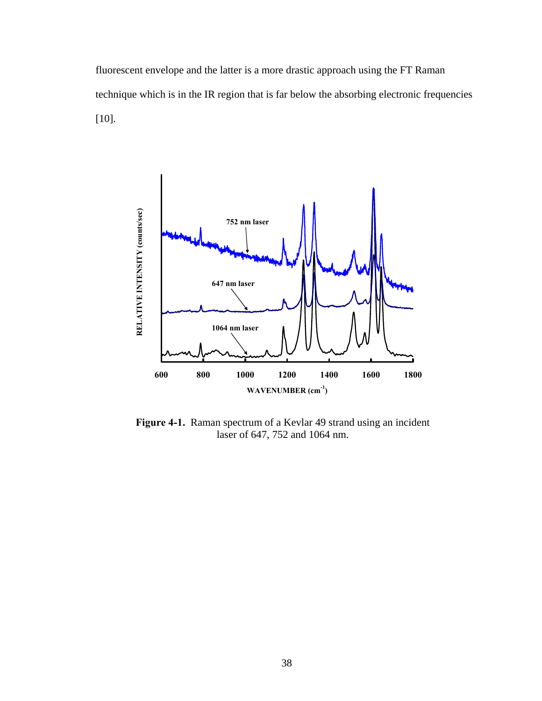fluorescent envelope and the latter is a more drastic approach using the FT Raman technique which is in the IR region that is far below the absorbing electronic frequencies [10].



**Figure 4-1.** Raman spectrum of a Kevlar 49 strand using an incident laser of 647, 752 and 1064 nm.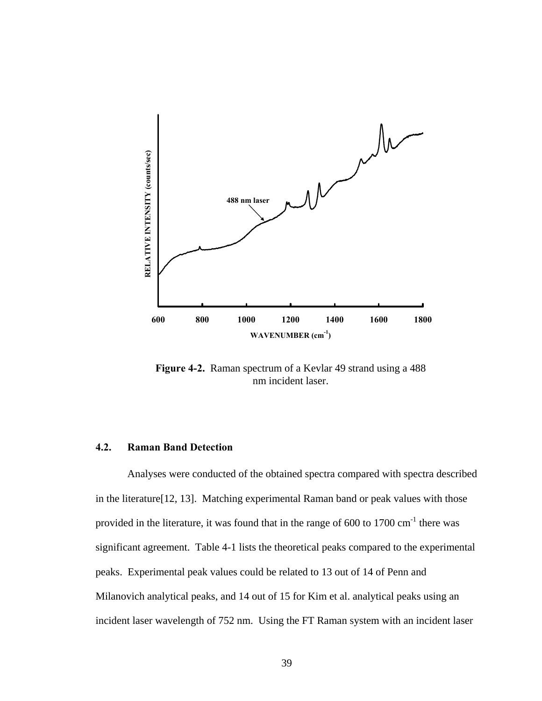

**Figure 4-2.** Raman spectrum of a Kevlar 49 strand using a 488 nm incident laser.

## **4.2. Raman Band Detection**

Analyses were conducted of the obtained spectra compared with spectra described in the literature[12, 13]. Matching experimental Raman band or peak values with those provided in the literature, it was found that in the range of  $600$  to  $1700 \text{ cm}^{-1}$  there was significant agreement. Table 4-1 lists the theoretical peaks compared to the experimental peaks. Experimental peak values could be related to 13 out of 14 of Penn and Milanovich analytical peaks, and 14 out of 15 for Kim et al. analytical peaks using an incident laser wavelength of 752 nm. Using the FT Raman system with an incident laser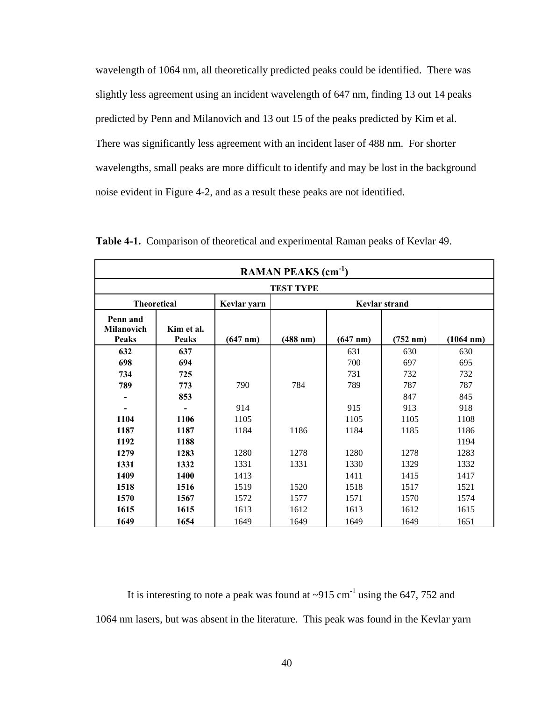wavelength of 1064 nm, all theoretically predicted peaks could be identified. There was slightly less agreement using an incident wavelength of 647 nm, finding 13 out 14 peaks predicted by Penn and Milanovich and 13 out 15 of the peaks predicted by Kim et al. There was significantly less agreement with an incident laser of 488 nm. For shorter wavelengths, small peaks are more difficult to identify and may be lost in the background noise evident in Figure 4-2, and as a result these peaks are not identified.

| RAMAN PEAKS (cm <sup>-1</sup> )        |                            |                    |                      |                    |                      |           |  |  |  |  |
|----------------------------------------|----------------------------|--------------------|----------------------|--------------------|----------------------|-----------|--|--|--|--|
| <b>TEST TYPE</b>                       |                            |                    |                      |                    |                      |           |  |  |  |  |
| <b>Theoretical</b>                     |                            | Kevlar yarn        | <b>Kevlar strand</b> |                    |                      |           |  |  |  |  |
| Penn and<br>Milanovich<br><b>Peaks</b> | Kim et al.<br><b>Peaks</b> | $(647 \text{ nm})$ | $(488$ nm)           | $(647 \text{ nm})$ | $(752 \; \text{nm})$ | (1064 nm) |  |  |  |  |
| 632                                    | 637                        |                    |                      | 631                | 630                  | 630       |  |  |  |  |
| 698                                    | 694                        |                    |                      | 700                | 697                  | 695       |  |  |  |  |
| 734                                    | 725                        |                    |                      | 731                | 732                  | 732       |  |  |  |  |
| 789                                    | 773                        | 790                | 784                  | 789                | 787                  | 787       |  |  |  |  |
|                                        | 853                        |                    |                      |                    | 847                  | 845       |  |  |  |  |
|                                        |                            | 914                |                      | 915                | 913                  | 918       |  |  |  |  |
| 1104                                   | 1106                       | 1105               |                      | 1105               | 1105                 | 1108      |  |  |  |  |
| 1187                                   | 1187                       | 1184               | 1186                 | 1184               | 1185                 | 1186      |  |  |  |  |
| 1192                                   | 1188                       |                    |                      |                    |                      | 1194      |  |  |  |  |
| 1279                                   | 1283                       | 1280               | 1278                 | 1280               | 1278                 | 1283      |  |  |  |  |
| 1331                                   | 1332                       | 1331               | 1331                 | 1330               | 1329                 | 1332      |  |  |  |  |
| 1409                                   | 1400                       | 1413               |                      | 1411               | 1415                 | 1417      |  |  |  |  |
| 1518                                   | 1516                       | 1519               | 1520                 | 1518               | 1517                 | 1521      |  |  |  |  |
| 1570                                   | 1567                       | 1572               | 1577                 | 1571               | 1570                 | 1574      |  |  |  |  |
| 1615                                   | 1615                       | 1613               | 1612                 | 1613               | 1612                 | 1615      |  |  |  |  |
| 1649                                   | 1654                       | 1649               | 1649                 | 1649               | 1649                 | 1651      |  |  |  |  |

**Table 4-1.** Comparison of theoretical and experimental Raman peaks of Kevlar 49.

It is interesting to note a peak was found at  $\sim$ 915 cm<sup>-1</sup> using the 647, 752 and 1064 nm lasers, but was absent in the literature. This peak was found in the Kevlar yarn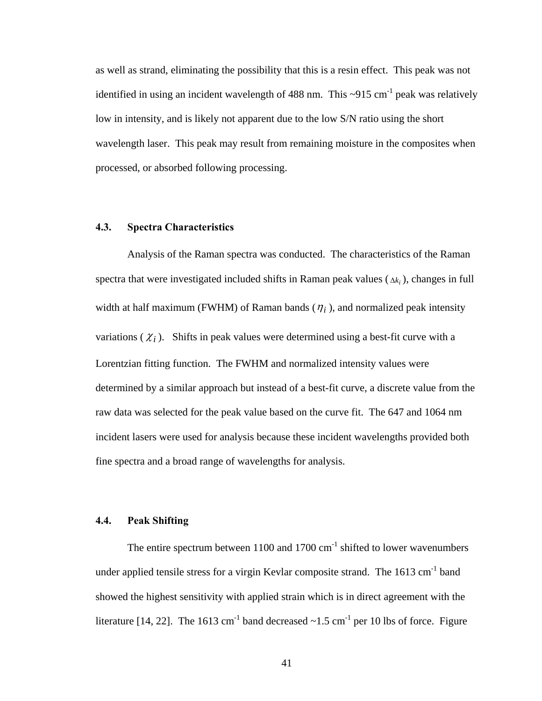as well as strand, eliminating the possibility that this is a resin effect. This peak was not identified in using an incident wavelength of 488 nm. This  $\sim$ 915 cm<sup>-1</sup> peak was relatively low in intensity, and is likely not apparent due to the low S/N ratio using the short wavelength laser. This peak may result from remaining moisture in the composites when processed, or absorbed following processing.

#### **4.3. Spectra Characteristics**

Analysis of the Raman spectra was conducted. The characteristics of the Raman spectra that were investigated included shifts in Raman peak values  $(\Delta k_i)$ , changes in full width at half maximum (FWHM) of Raman bands  $(\eta_i)$ , and normalized peak intensity variations  $(\chi_i)$ . Shifts in peak values were determined using a best-fit curve with a Lorentzian fitting function. The FWHM and normalized intensity values were determined by a similar approach but instead of a best-fit curve, a discrete value from the raw data was selected for the peak value based on the curve fit. The 647 and 1064 nm incident lasers were used for analysis because these incident wavelengths provided both fine spectra and a broad range of wavelengths for analysis.

### **4.4. Peak Shifting**

The entire spectrum between  $1100$  and  $1700$  cm<sup>-1</sup> shifted to lower wavenumbers under applied tensile stress for a virgin Kevlar composite strand. The 1613 cm<sup>-1</sup> band showed the highest sensitivity with applied strain which is in direct agreement with the literature [14, 22]. The 1613 cm<sup>-1</sup> band decreased  $\sim$ 1.5 cm<sup>-1</sup> per 10 lbs of force. Figure

41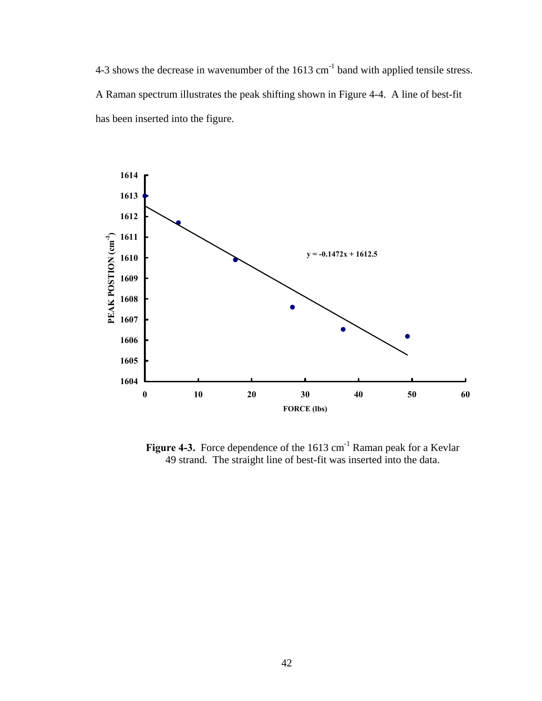4-3 shows the decrease in wavenumber of the 1613 cm<sup>-1</sup> band with applied tensile stress. A Raman spectrum illustrates the peak shifting shown in Figure 4-4. A line of best-fit has been inserted into the figure.



Figure 4-3. Force dependence of the 1613 cm<sup>-1</sup> Raman peak for a Kevlar 49 strand. The straight line of best-fit was inserted into the data.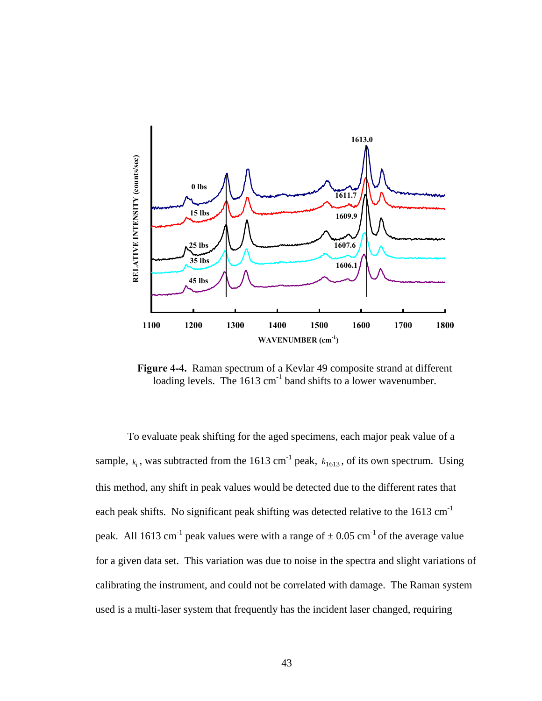

**Figure 4-4.** Raman spectrum of a Kevlar 49 composite strand at different loading levels. The 1613 cm<sup>-1</sup> band shifts to a lower wavenumber.

To evaluate peak shifting for the aged specimens, each major peak value of a sample,  $k_i$ , was subtracted from the 1613 cm<sup>-1</sup> peak,  $k_{1613}$ , of its own spectrum. Using this method, any shift in peak values would be detected due to the different rates that each peak shifts. No significant peak shifting was detected relative to the 1613 cm<sup>-1</sup> peak. All 1613 cm<sup>-1</sup> peak values were with a range of  $\pm$  0.05 cm<sup>-1</sup> of the average value for a given data set. This variation was due to noise in the spectra and slight variations of calibrating the instrument, and could not be correlated with damage. The Raman system used is a multi-laser system that frequently has the incident laser changed, requiring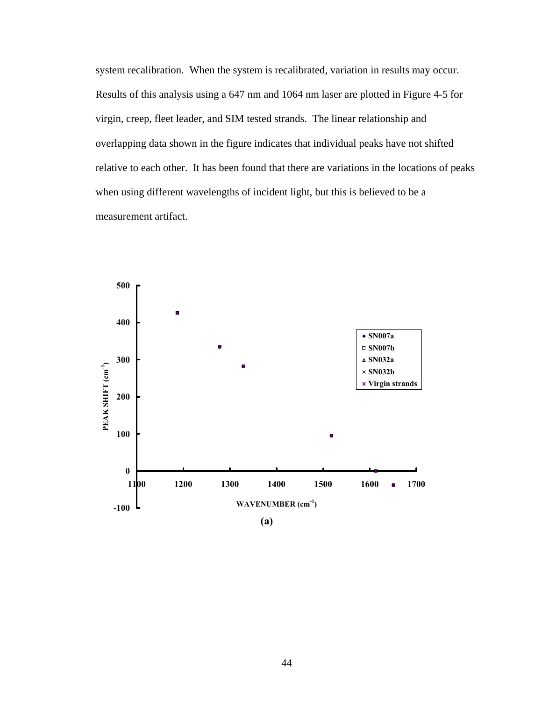system recalibration. When the system is recalibrated, variation in results may occur. Results of this analysis using a 647 nm and 1064 nm laser are plotted in Figure 4-5 for virgin, creep, fleet leader, and SIM tested strands. The linear relationship and overlapping data shown in the figure indicates that individual peaks have not shifted relative to each other. It has been found that there are variations in the locations of peaks when using different wavelengths of incident light, but this is believed to be a measurement artifact.

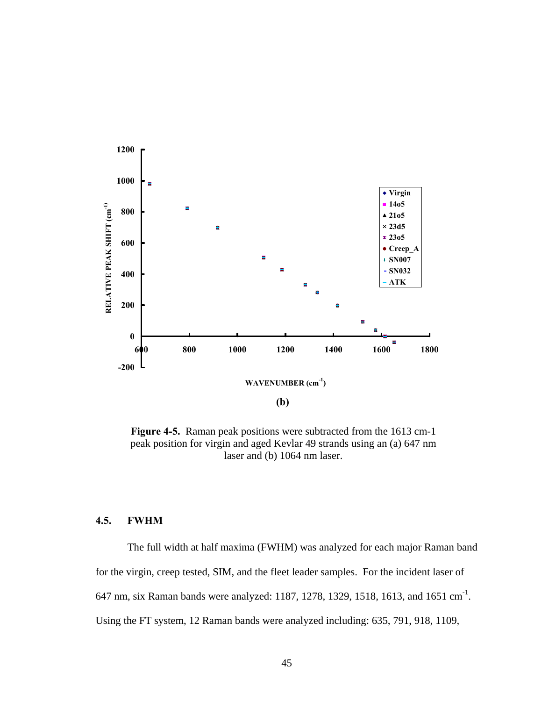

**Figure 4-5.** Raman peak positions were subtracted from the 1613 cm-1 peak position for virgin and aged Kevlar 49 strands using an (a) 647 nm laser and (b) 1064 nm laser.

## **4.5. FWHM**

The full width at half maxima (FWHM) was analyzed for each major Raman band for the virgin, creep tested, SIM, and the fleet leader samples. For the incident laser of 647 nm, six Raman bands were analyzed: 1187, 1278, 1329, 1518, 1613, and 1651 cm-1. Using the FT system, 12 Raman bands were analyzed including: 635, 791, 918, 1109,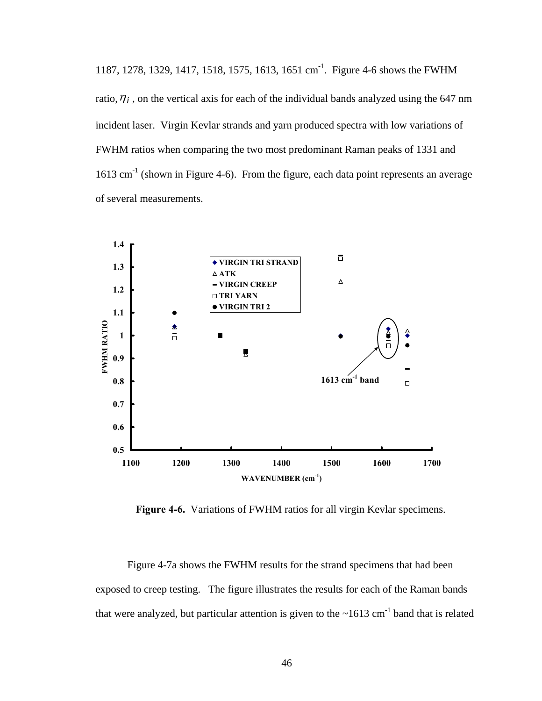1187, 1278, 1329, 1417, 1518, 1575, 1613, 1651 cm-1. Figure 4-6 shows the FWHM ratio,  $\eta_i$ , on the vertical axis for each of the individual bands analyzed using the 647 nm incident laser. Virgin Kevlar strands and yarn produced spectra with low variations of FWHM ratios when comparing the two most predominant Raman peaks of 1331 and  $1613$  cm<sup>-1</sup> (shown in Figure 4-6). From the figure, each data point represents an average of several measurements.



**Figure 4-6.** Variations of FWHM ratios for all virgin Kevlar specimens.

Figure 4-7a shows the FWHM results for the strand specimens that had been exposed to creep testing. The figure illustrates the results for each of the Raman bands that were analyzed, but particular attention is given to the  $\sim 1613$  cm<sup>-1</sup> band that is related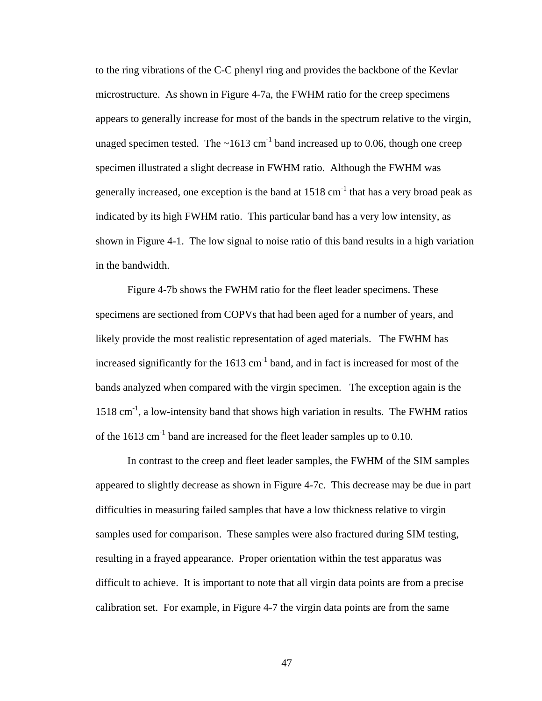to the ring vibrations of the C-C phenyl ring and provides the backbone of the Kevlar microstructure. As shown in Figure 4-7a, the FWHM ratio for the creep specimens appears to generally increase for most of the bands in the spectrum relative to the virgin, unaged specimen tested. The  $\sim 1613$  cm<sup>-1</sup> band increased up to 0.06, though one creep specimen illustrated a slight decrease in FWHM ratio. Although the FWHM was generally increased, one exception is the band at  $1518 \text{ cm}^{-1}$  that has a very broad peak as indicated by its high FWHM ratio. This particular band has a very low intensity, as shown in Figure 4-1. The low signal to noise ratio of this band results in a high variation in the bandwidth.

Figure 4-7b shows the FWHM ratio for the fleet leader specimens. These specimens are sectioned from COPVs that had been aged for a number of years, and likely provide the most realistic representation of aged materials. The FWHM has increased significantly for the  $1613 \text{ cm}^{-1}$  band, and in fact is increased for most of the bands analyzed when compared with the virgin specimen. The exception again is the 1518 cm-1, a low-intensity band that shows high variation in results. The FWHM ratios of the  $1613 \text{ cm}^{-1}$  band are increased for the fleet leader samples up to 0.10.

In contrast to the creep and fleet leader samples, the FWHM of the SIM samples appeared to slightly decrease as shown in Figure 4-7c. This decrease may be due in part difficulties in measuring failed samples that have a low thickness relative to virgin samples used for comparison. These samples were also fractured during SIM testing, resulting in a frayed appearance. Proper orientation within the test apparatus was difficult to achieve. It is important to note that all virgin data points are from a precise calibration set. For example, in Figure 4-7 the virgin data points are from the same

47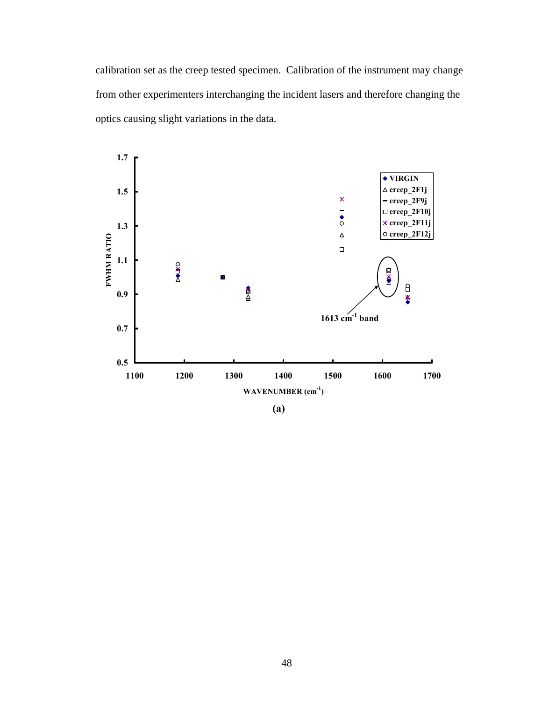calibration set as the creep tested specimen. Calibration of the instrument may change from other experimenters interchanging the incident lasers and therefore changing the optics causing slight variations in the data.

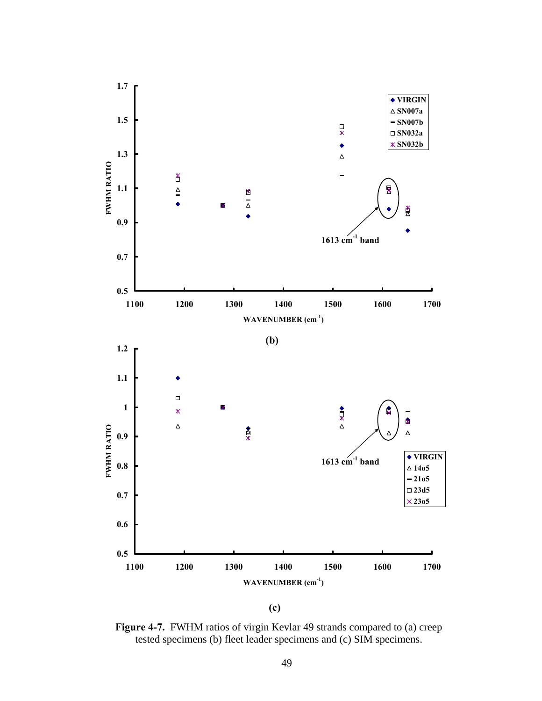

**(c)** 

**Figure 4-7.** FWHM ratios of virgin Kevlar 49 strands compared to (a) creep tested specimens (b) fleet leader specimens and (c) SIM specimens.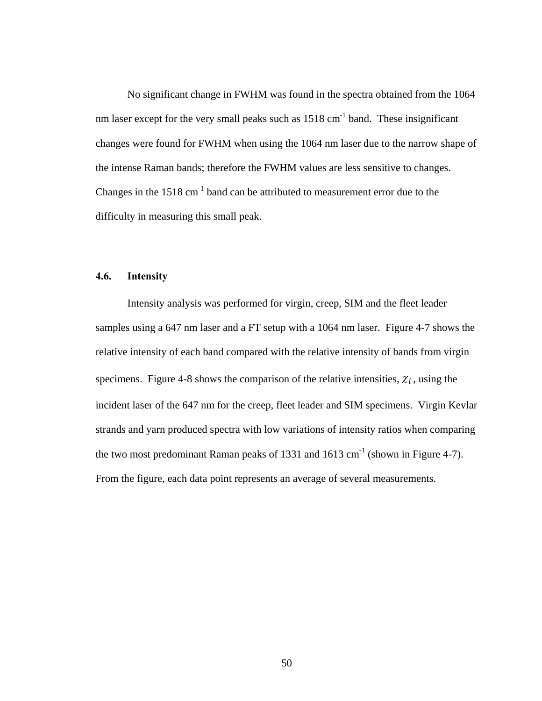No significant change in FWHM was found in the spectra obtained from the 1064 nm laser except for the very small peaks such as  $1518 \text{ cm}^{-1}$  band. These insignificant changes were found for FWHM when using the 1064 nm laser due to the narrow shape of the intense Raman bands; therefore the FWHM values are less sensitive to changes. Changes in the  $1518 \text{ cm}^{-1}$  band can be attributed to measurement error due to the difficulty in measuring this small peak.

## **4.6. Intensity**

Intensity analysis was performed for virgin, creep, SIM and the fleet leader samples using a 647 nm laser and a FT setup with a 1064 nm laser. Figure 4-7 shows the relative intensity of each band compared with the relative intensity of bands from virgin specimens. Figure 4-8 shows the comparison of the relative intensities,  $\chi_i$ , using the incident laser of the 647 nm for the creep, fleet leader and SIM specimens. Virgin Kevlar strands and yarn produced spectra with low variations of intensity ratios when comparing the two most predominant Raman peaks of 1331 and 1613 cm<sup>-1</sup> (shown in Figure 4-7). From the figure, each data point represents an average of several measurements.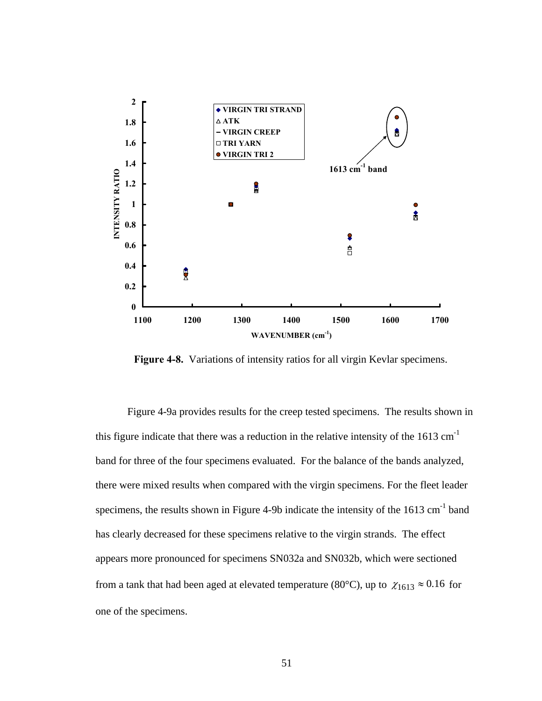

**Figure 4-8.** Variations of intensity ratios for all virgin Kevlar specimens.

Figure 4-9a provides results for the creep tested specimens. The results shown in this figure indicate that there was a reduction in the relative intensity of the  $1613 \text{ cm}^{-1}$ band for three of the four specimens evaluated. For the balance of the bands analyzed, there were mixed results when compared with the virgin specimens. For the fleet leader specimens, the results shown in Figure 4-9b indicate the intensity of the 1613 cm<sup>-1</sup> band has clearly decreased for these specimens relative to the virgin strands. The effect appears more pronounced for specimens SN032a and SN032b, which were sectioned from a tank that had been aged at elevated temperature (80°C), up to  $\chi_{1613} \approx 0.16$  for one of the specimens.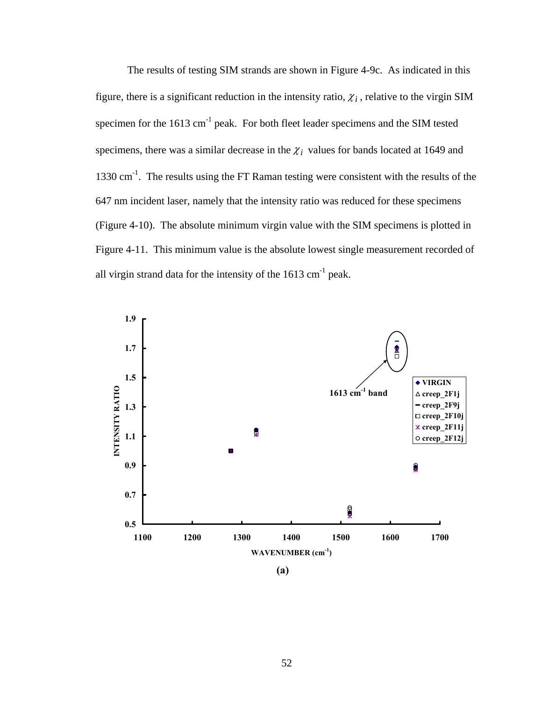The results of testing SIM strands are shown in Figure 4-9c. As indicated in this figure, there is a significant reduction in the intensity ratio,  $\chi_i$ , relative to the virgin SIM specimen for the  $1613 \text{ cm}^{-1}$  peak. For both fleet leader specimens and the SIM tested specimens, there was a similar decrease in the  $\chi_i$  values for bands located at 1649 and 1330 cm-1. The results using the FT Raman testing were consistent with the results of the 647 nm incident laser, namely that the intensity ratio was reduced for these specimens (Figure 4-10). The absolute minimum virgin value with the SIM specimens is plotted in Figure 4-11.This minimum value is the absolute lowest single measurement recorded of all virgin strand data for the intensity of the  $1613 \text{ cm}^{-1}$  peak.



**(a)**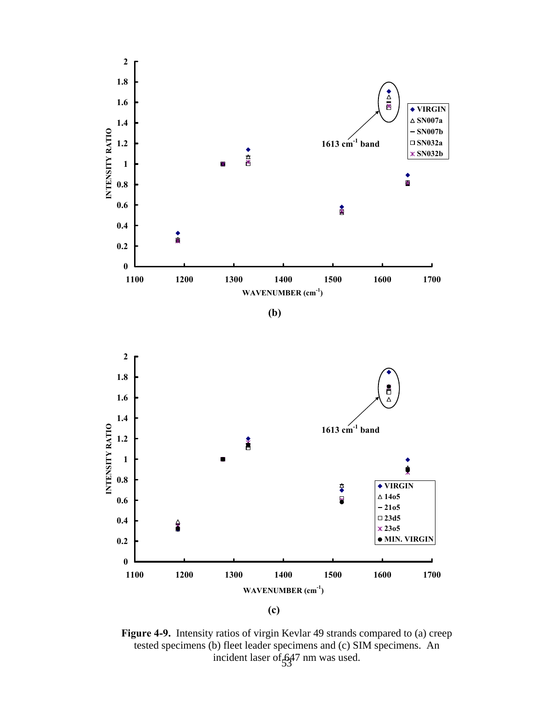

**(b)** 





incident laser of  $647$  nm was used. **Figure 4-9.** Intensity ratios of virgin Kevlar 49 strands compared to (a) creep tested specimens (b) fleet leader specimens and (c) SIM specimens. An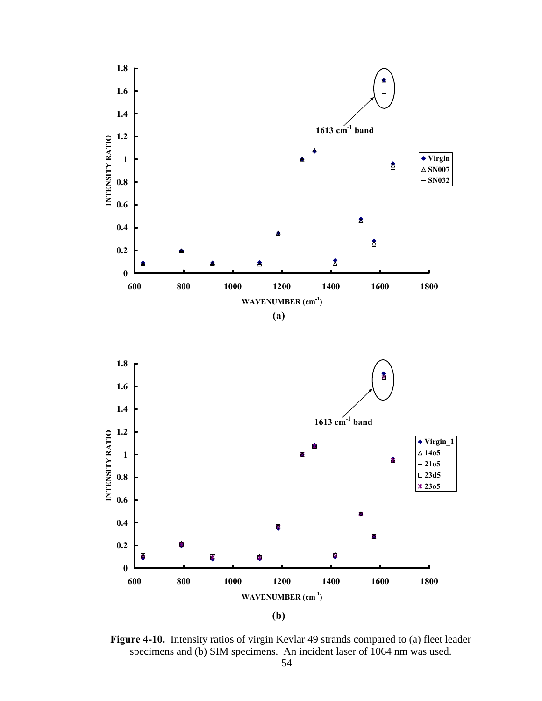



**Figure 4-10.** Intensity ratios of virgin Kevlar 49 strands compared to (a) fleet leader specimens and (b) SIM specimens. An incident laser of 1064 nm was used.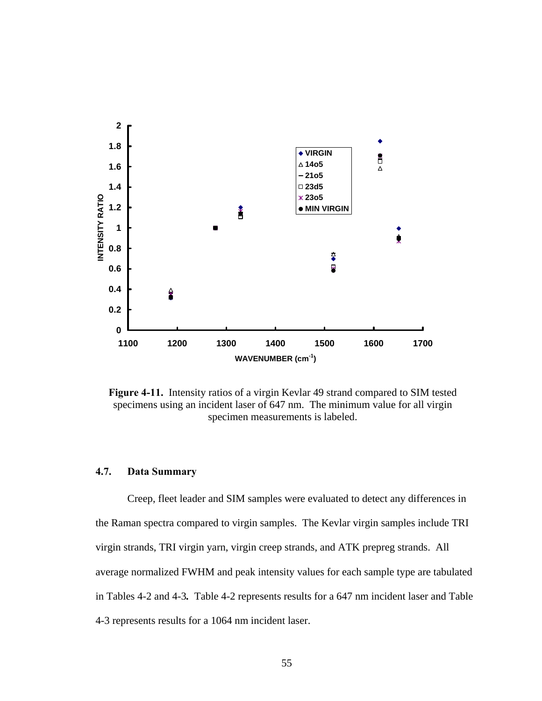

**Figure 4-11.** Intensity ratios of a virgin Kevlar 49 strand compared to SIM tested specimens using an incident laser of 647 nm. The minimum value for all virgin specimen measurements is labeled.

## **4.7. Data Summary**

Creep, fleet leader and SIM samples were evaluated to detect any differences in the Raman spectra compared to virgin samples. The Kevlar virgin samples include TRI virgin strands, TRI virgin yarn, virgin creep strands, and ATK prepreg strands. All average normalized FWHM and peak intensity values for each sample type are tabulated in Tables 4-2 and 4-3*.* Table 4-2 represents results for a 647 nm incident laser and Table 4-3 represents results for a 1064 nm incident laser.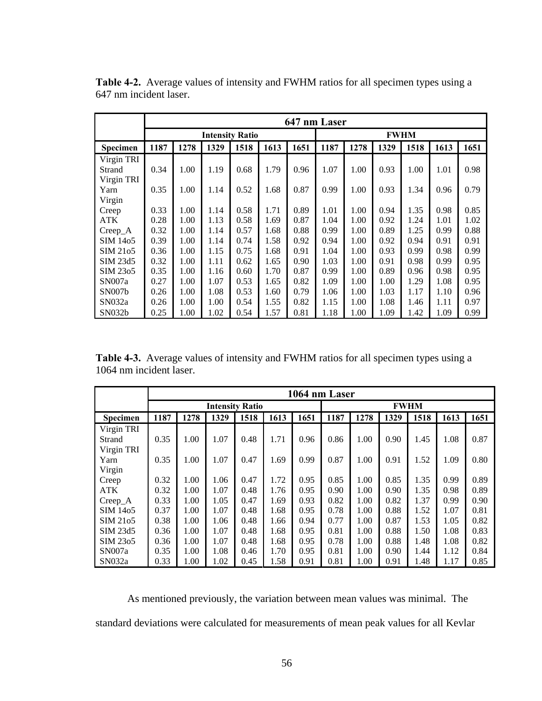|            | 647 nm Laser           |      |      |      |      |      |      |             |      |      |      |      |  |
|------------|------------------------|------|------|------|------|------|------|-------------|------|------|------|------|--|
|            | <b>Intensity Ratio</b> |      |      |      |      |      |      | <b>FWHM</b> |      |      |      |      |  |
| Specimen   | 1187                   | 1278 | 1329 | 1518 | 1613 | 1651 | 1187 | 1278        | 1329 | 1518 | 1613 | 1651 |  |
| Virgin TRI |                        |      |      |      |      |      |      |             |      |      |      |      |  |
| Strand     | 0.34                   | 1.00 | 1.19 | 0.68 | 1.79 | 0.96 | 1.07 | 1.00        | 0.93 | 1.00 | 1.01 | 0.98 |  |
| Virgin TRI |                        |      |      |      |      |      |      |             |      |      |      |      |  |
| Yarn       | 0.35                   | 1.00 | 1.14 | 0.52 | 1.68 | 0.87 | 0.99 | 1.00        | 0.93 | 1.34 | 0.96 | 0.79 |  |
| Virgin     |                        |      |      |      |      |      |      |             |      |      |      |      |  |
| Creep      | 0.33                   | 1.00 | 1.14 | 0.58 | 1.71 | 0.89 | 1.01 | 1.00        | 0.94 | 1.35 | 0.98 | 0.85 |  |
| ATK        | 0.28                   | 1.00 | 1.13 | 0.58 | 1.69 | 0.87 | 1.04 | 1.00        | 0.92 | 1.24 | 1.01 | 1.02 |  |
| $Creep_A$  | 0.32                   | 1.00 | 1.14 | 0.57 | 1.68 | 0.88 | 0.99 | 1.00        | 0.89 | 1.25 | 0.99 | 0.88 |  |
| SIM 1405   | 0.39                   | 1.00 | 1.14 | 0.74 | 1.58 | 0.92 | 0.94 | 1.00        | 0.92 | 0.94 | 0.91 | 0.91 |  |
| SIM 2105   | 0.36                   | 1.00 | 1.15 | 0.75 | 1.68 | 0.91 | 1.04 | 1.00        | 0.93 | 0.99 | 0.98 | 0.99 |  |
| SIM 23d5   | 0.32                   | 1.00 | 1.11 | 0.62 | 1.65 | 0.90 | 1.03 | 1.00        | 0.91 | 0.98 | 0.99 | 0.95 |  |
| SIM 2305   | 0.35                   | 1.00 | 1.16 | 0.60 | 1.70 | 0.87 | 0.99 | 1.00        | 0.89 | 0.96 | 0.98 | 0.95 |  |
| SN007a     | 0.27                   | 1.00 | 1.07 | 0.53 | 1.65 | 0.82 | 1.09 | 1.00        | 1.00 | 1.29 | 1.08 | 0.95 |  |
| SN007b     | 0.26                   | 1.00 | 1.08 | 0.53 | 1.60 | 0.79 | 1.06 | 1.00        | 1.03 | 1.17 | 1.10 | 0.96 |  |
| SN032a     | 0.26                   | 1.00 | 1.00 | 0.54 | 1.55 | 0.82 | 1.15 | 1.00        | 1.08 | 1.46 | 1.11 | 0.97 |  |
| SN032b     | 0.25                   | 1.00 | 1.02 | 0.54 | 1.57 | 0.81 | 1.18 | 1.00        | 1.09 | 1.42 | 1.09 | 0.99 |  |

**Table 4-2.** Average values of intensity and FWHM ratios for all specimen types using a 647 nm incident laser.

**Table 4-3.** Average values of intensity and FWHM ratios for all specimen types using a 1064 nm incident laser.

|            | 1064 nm Laser          |      |      |      |      |      |      |             |      |      |      |      |  |
|------------|------------------------|------|------|------|------|------|------|-------------|------|------|------|------|--|
|            | <b>Intensity Ratio</b> |      |      |      |      |      |      | <b>FWHM</b> |      |      |      |      |  |
| Specimen   | 1187                   | 1278 | 1329 | 1518 | 1613 | 1651 | 1187 | 1278        | 1329 | 1518 | 1613 | 1651 |  |
| Virgin TRI |                        |      |      |      |      |      |      |             |      |      |      |      |  |
| Strand     | 0.35                   | 1.00 | 1.07 | 0.48 | 1.71 | 0.96 | 0.86 | 1.00        | 0.90 | 1.45 | 1.08 | 0.87 |  |
| Virgin TRI |                        |      |      |      |      |      |      |             |      |      |      |      |  |
| Yarn       | 0.35                   | 1.00 | 1.07 | 0.47 | 1.69 | 0.99 | 0.87 | 1.00        | 0.91 | 1.52 | 1.09 | 0.80 |  |
| Virgin     |                        |      |      |      |      |      |      |             |      |      |      |      |  |
| Creep      | 0.32                   | 1.00 | 1.06 | 0.47 | 1.72 | 0.95 | 0.85 | 1.00        | 0.85 | 1.35 | 0.99 | 0.89 |  |
| <b>ATK</b> | 0.32                   | 1.00 | 1.07 | 0.48 | 1.76 | 0.95 | 0.90 | 1.00        | 0.90 | 1.35 | 0.98 | 0.89 |  |
| $Creep_A$  | 0.33                   | 1.00 | 1.05 | 0.47 | 1.69 | 0.93 | 0.82 | 1.00        | 0.82 | 1.37 | 0.99 | 0.90 |  |
| SIM 1405   | 0.37                   | 1.00 | 1.07 | 0.48 | 1.68 | 0.95 | 0.78 | 1.00        | 0.88 | 1.52 | 1.07 | 0.81 |  |
| SIM 2105   | 0.38                   | 1.00 | 1.06 | 0.48 | 1.66 | 0.94 | 0.77 | 1.00        | 0.87 | 1.53 | 1.05 | 0.82 |  |
| SIM 23d5   | 0.36                   | 1.00 | 1.07 | 0.48 | 1.68 | 0.95 | 0.81 | 1.00        | 0.88 | 1.50 | 1.08 | 0.83 |  |
| SIM 2305   | 0.36                   | 1.00 | 1.07 | 0.48 | 1.68 | 0.95 | 0.78 | 1.00        | 0.88 | 1.48 | 1.08 | 0.82 |  |
| SN007a     | 0.35                   | 1.00 | 1.08 | 0.46 | 1.70 | 0.95 | 0.81 | 1.00        | 0.90 | 1.44 | 1.12 | 0.84 |  |
| SN032a     | 0.33                   | 1.00 | 1.02 | 0.45 | 1.58 | 0.91 | 0.81 | 1.00        | 0.91 | 1.48 | 1.17 | 0.85 |  |

As mentioned previously, the variation between mean values was minimal. The standard deviations were calculated for measurements of mean peak values for all Kevlar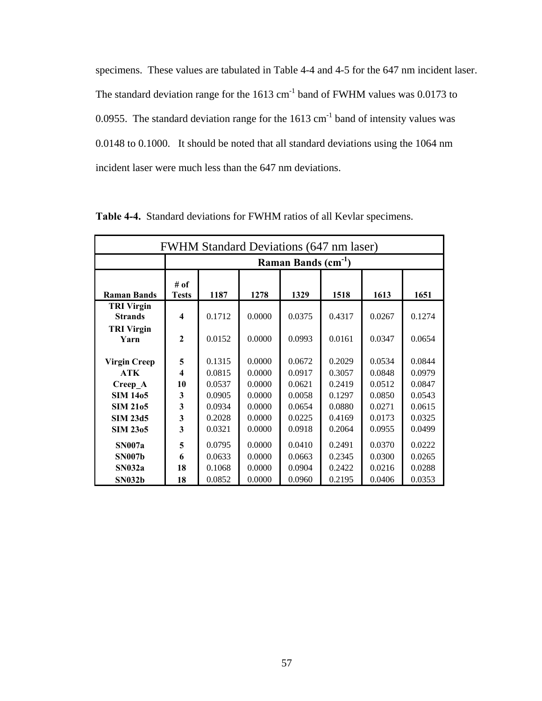specimens. These values are tabulated in Table 4-4 and 4-5 for the 647 nm incident laser. The standard deviation range for the  $1613 \text{ cm}^{-1}$  band of FWHM values was 0.0173 to 0.0955. The standard deviation range for the  $1613 \text{ cm}^{-1}$  band of intensity values was 0.0148 to 0.1000. It should be noted that all standard deviations using the 1064 nm incident laser were much less than the 647 nm deviations.

| <b>FWHM Standard Deviations (647 nm laser)</b> |                                 |        |        |        |        |        |        |  |  |  |  |
|------------------------------------------------|---------------------------------|--------|--------|--------|--------|--------|--------|--|--|--|--|
|                                                | Raman Bands (cm <sup>-1</sup> ) |        |        |        |        |        |        |  |  |  |  |
| <b>Raman Bands</b>                             | # of<br><b>Tests</b>            | 1187   | 1278   | 1329   | 1518   | 1613   | 1651   |  |  |  |  |
| <b>TRI Virgin</b><br><b>Strands</b>            | $\overline{\mathbf{4}}$         | 0.1712 | 0.0000 | 0.0375 | 0.4317 | 0.0267 | 0.1274 |  |  |  |  |
| <b>TRI Virgin</b><br>Yarn                      | $\mathbf{2}$                    | 0.0152 | 0.0000 | 0.0993 | 0.0161 | 0.0347 | 0.0654 |  |  |  |  |
| <b>Virgin Creep</b>                            | 5                               | 0.1315 | 0.0000 | 0.0672 | 0.2029 | 0.0534 | 0.0844 |  |  |  |  |
| <b>ATK</b>                                     | $\overline{\mathbf{4}}$         | 0.0815 | 0.0000 | 0.0917 | 0.3057 | 0.0848 | 0.0979 |  |  |  |  |
| Creep A                                        | 10                              | 0.0537 | 0.0000 | 0.0621 | 0.2419 | 0.0512 | 0.0847 |  |  |  |  |
| <b>SIM 1405</b>                                | 3                               | 0.0905 | 0.0000 | 0.0058 | 0.1297 | 0.0850 | 0.0543 |  |  |  |  |
| <b>SIM 2105</b>                                | 3                               | 0.0934 | 0.0000 | 0.0654 | 0.0880 | 0.0271 | 0.0615 |  |  |  |  |
| <b>SIM 23d5</b>                                | 3                               | 0.2028 | 0.0000 | 0.0225 | 0.4169 | 0.0173 | 0.0325 |  |  |  |  |
| <b>SIM 2305</b>                                | 3                               | 0.0321 | 0.0000 | 0.0918 | 0.2064 | 0.0955 | 0.0499 |  |  |  |  |
| <b>SN007a</b>                                  | 5                               | 0.0795 | 0.0000 | 0.0410 | 0.2491 | 0.0370 | 0.0222 |  |  |  |  |
| <b>SN007b</b>                                  | 6                               | 0.0633 | 0.0000 | 0.0663 | 0.2345 | 0.0300 | 0.0265 |  |  |  |  |
| SN032a                                         | 18                              | 0.1068 | 0.0000 | 0.0904 | 0.2422 | 0.0216 | 0.0288 |  |  |  |  |
| <b>SN032b</b>                                  | 18                              | 0.0852 | 0.0000 | 0.0960 | 0.2195 | 0.0406 | 0.0353 |  |  |  |  |

**Table 4-4.** Standard deviations for FWHM ratios of all Kevlar specimens.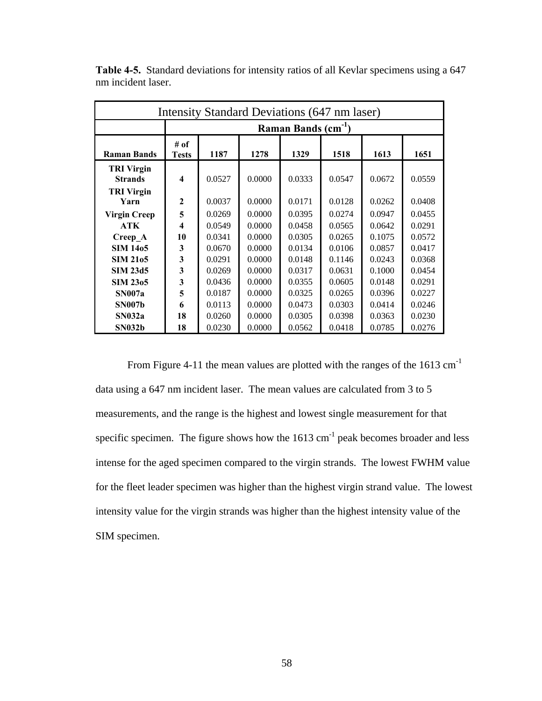| Intensity Standard Deviations (647 nm laser) |                                                                      |        |        |        |        |        |        |  |  |  |  |
|----------------------------------------------|----------------------------------------------------------------------|--------|--------|--------|--------|--------|--------|--|--|--|--|
|                                              | Raman Bands (cm <sup>-1</sup> )                                      |        |        |        |        |        |        |  |  |  |  |
| <b>Raman Bands</b>                           | # of<br>1187<br>1278<br>1329<br>1518<br>1613<br>1651<br><b>Tests</b> |        |        |        |        |        |        |  |  |  |  |
| <b>TRI Virgin</b><br><b>Strands</b>          | 4                                                                    | 0.0527 | 0.0000 | 0.0333 | 0.0547 | 0.0672 | 0.0559 |  |  |  |  |
| <b>TRI Virgin</b><br>Yarn                    | $\mathbf{2}$                                                         | 0.0037 | 0.0000 | 0.0171 | 0.0128 | 0.0262 | 0.0408 |  |  |  |  |
| <b>Virgin Creep</b>                          | 5                                                                    | 0.0269 | 0.0000 | 0.0395 | 0.0274 | 0.0947 | 0.0455 |  |  |  |  |
| <b>ATK</b>                                   | 4                                                                    | 0.0549 | 0.0000 | 0.0458 | 0.0565 | 0.0642 | 0.0291 |  |  |  |  |
| Creep A                                      | 10                                                                   | 0.0341 | 0.0000 | 0.0305 | 0.0265 | 0.1075 | 0.0572 |  |  |  |  |
| <b>SIM 1405</b>                              | 3                                                                    | 0.0670 | 0.0000 | 0.0134 | 0.0106 | 0.0857 | 0.0417 |  |  |  |  |
| <b>SIM 2105</b>                              | 3                                                                    | 0.0291 | 0.0000 | 0.0148 | 0.1146 | 0.0243 | 0.0368 |  |  |  |  |
| <b>SIM 23d5</b>                              | 3                                                                    | 0.0269 | 0.0000 | 0.0317 | 0.0631 | 0.1000 | 0.0454 |  |  |  |  |
| <b>SIM 2305</b>                              | 3                                                                    | 0.0436 | 0.0000 | 0.0355 | 0.0605 | 0.0148 | 0.0291 |  |  |  |  |
| <b>SN007a</b>                                | 5                                                                    | 0.0187 | 0.0000 | 0.0325 | 0.0265 | 0.0396 | 0.0227 |  |  |  |  |
| <b>SN007b</b>                                | 6                                                                    | 0.0113 | 0.0000 | 0.0473 | 0.0303 | 0.0414 | 0.0246 |  |  |  |  |
| SN032a                                       | 18                                                                   | 0.0260 | 0.0000 | 0.0305 | 0.0398 | 0.0363 | 0.0230 |  |  |  |  |
| <b>SN032b</b>                                | 18                                                                   | 0.0230 | 0.0000 | 0.0562 | 0.0418 | 0.0785 | 0.0276 |  |  |  |  |

**Table 4-5.** Standard deviations for intensity ratios of all Kevlar specimens using a 647 nm incident laser.

From Figure 4-11 the mean values are plotted with the ranges of the 1613 cm<sup>-1</sup> data using a 647 nm incident laser. The mean values are calculated from 3 to 5 measurements, and the range is the highest and lowest single measurement for that specific specimen. The figure shows how the  $1613 \text{ cm}^{-1}$  peak becomes broader and less intense for the aged specimen compared to the virgin strands. The lowest FWHM value for the fleet leader specimen was higher than the highest virgin strand value. The lowest intensity value for the virgin strands was higher than the highest intensity value of the SIM specimen.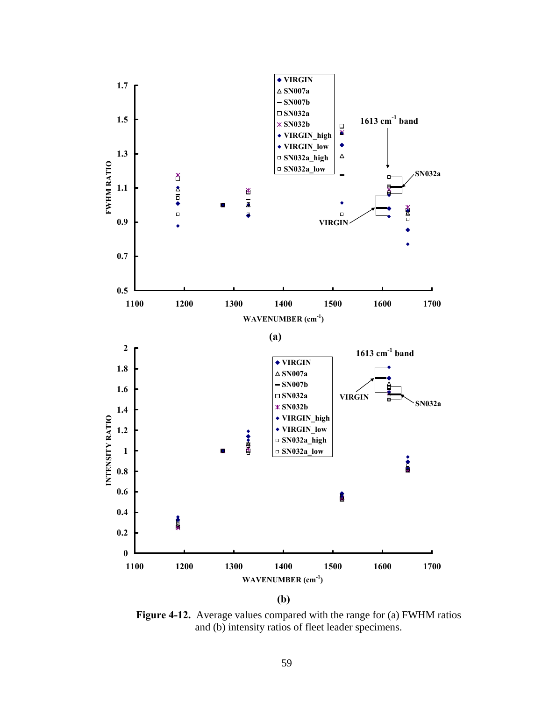

**Figure 4-12.** Average values compared with the range for (a) FWHM ratios and (b) intensity ratios of fleet leader specimens.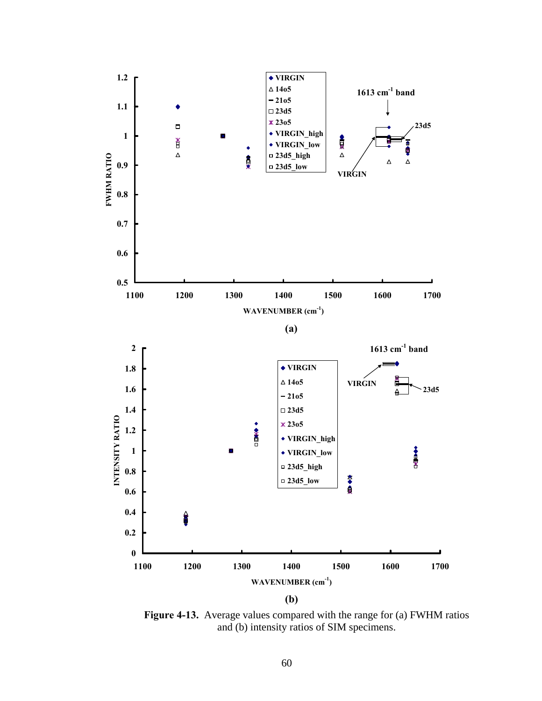

**Figure 4-13.** Average values compared with the range for (a) FWHM ratios and (b) intensity ratios of SIM specimens.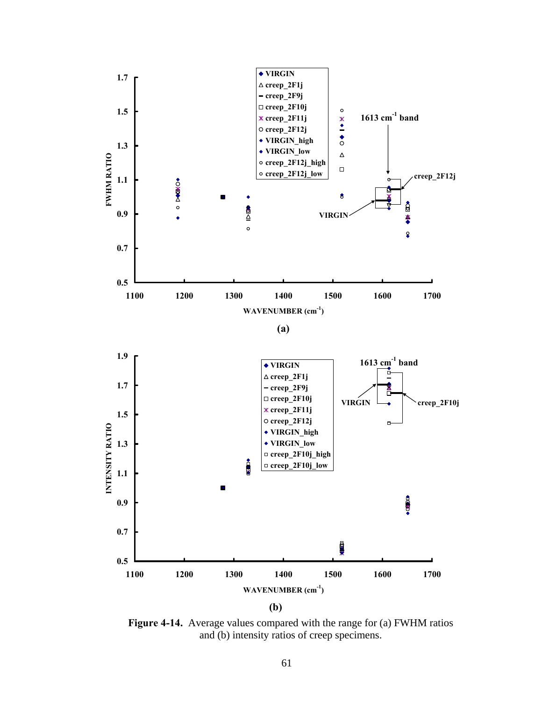

**Figure 4-14.** Average values compared with the range for (a) FWHM ratios and (b) intensity ratios of creep specimens.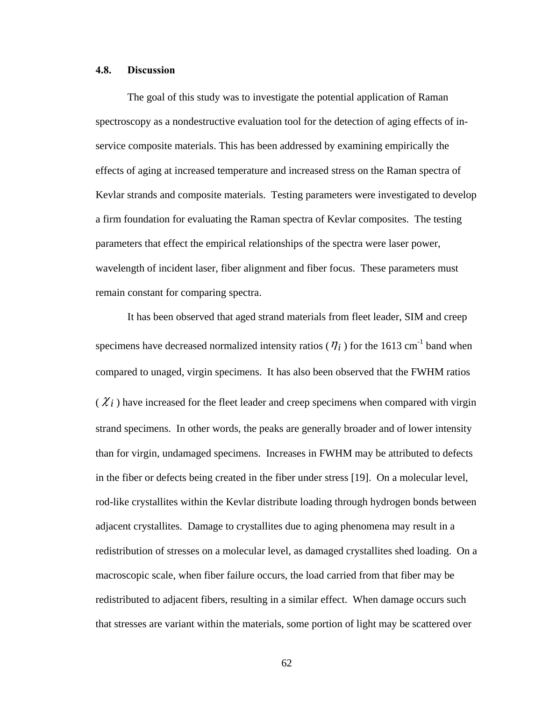## **4.8. Discussion**

 The goal of this study was to investigate the potential application of Raman spectroscopy as a nondestructive evaluation tool for the detection of aging effects of inservice composite materials. This has been addressed by examining empirically the effects of aging at increased temperature and increased stress on the Raman spectra of Kevlar strands and composite materials. Testing parameters were investigated to develop a firm foundation for evaluating the Raman spectra of Kevlar composites. The testing parameters that effect the empirical relationships of the spectra were laser power, wavelength of incident laser, fiber alignment and fiber focus. These parameters must remain constant for comparing spectra.

It has been observed that aged strand materials from fleet leader, SIM and creep specimens have decreased normalized intensity ratios ( $\eta_i$ ) for the 1613 cm<sup>-1</sup> band when compared to unaged, virgin specimens. It has also been observed that the FWHM ratios  $(\chi_i)$  have increased for the fleet leader and creep specimens when compared with virgin strand specimens. In other words, the peaks are generally broader and of lower intensity than for virgin, undamaged specimens. Increases in FWHM may be attributed to defects in the fiber or defects being created in the fiber under stress [19]. On a molecular level, rod-like crystallites within the Kevlar distribute loading through hydrogen bonds between adjacent crystallites. Damage to crystallites due to aging phenomena may result in a redistribution of stresses on a molecular level, as damaged crystallites shed loading. On a macroscopic scale, when fiber failure occurs, the load carried from that fiber may be redistributed to adjacent fibers, resulting in a similar effect. When damage occurs such that stresses are variant within the materials, some portion of light may be scattered over

62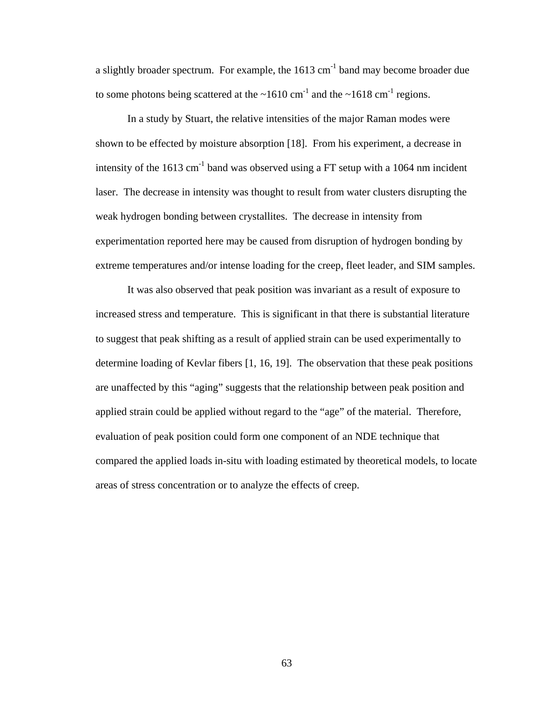a slightly broader spectrum. For example, the  $1613 \text{ cm}^{-1}$  band may become broader due to some photons being scattered at the  $\sim 1610 \text{ cm}^{-1}$  and the  $\sim 1618 \text{ cm}^{-1}$  regions.

In a study by Stuart, the relative intensities of the major Raman modes were shown to be effected by moisture absorption [18]. From his experiment, a decrease in intensity of the  $1613 \text{ cm}^{-1}$  band was observed using a FT setup with a 1064 nm incident laser. The decrease in intensity was thought to result from water clusters disrupting the weak hydrogen bonding between crystallites. The decrease in intensity from experimentation reported here may be caused from disruption of hydrogen bonding by extreme temperatures and/or intense loading for the creep, fleet leader, and SIM samples.

It was also observed that peak position was invariant as a result of exposure to increased stress and temperature. This is significant in that there is substantial literature to suggest that peak shifting as a result of applied strain can be used experimentally to determine loading of Kevlar fibers [1, 16, 19]. The observation that these peak positions are unaffected by this "aging" suggests that the relationship between peak position and applied strain could be applied without regard to the "age" of the material. Therefore, evaluation of peak position could form one component of an NDE technique that compared the applied loads in-situ with loading estimated by theoretical models, to locate areas of stress concentration or to analyze the effects of creep.

63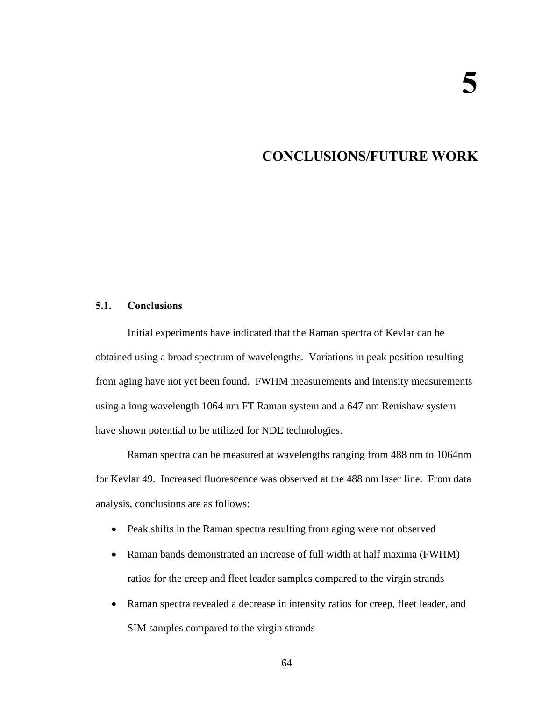## **5. CONCLUSIONS/FUTURE WORK**

## **5.1. Conclusions**

 Initial experiments have indicated that the Raman spectra of Kevlar can be obtained using a broad spectrum of wavelengths. Variations in peak position resulting from aging have not yet been found. FWHM measurements and intensity measurements using a long wavelength 1064 nm FT Raman system and a 647 nm Renishaw system have shown potential to be utilized for NDE technologies.

 Raman spectra can be measured at wavelengths ranging from 488 nm to 1064nm for Kevlar 49. Increased fluorescence was observed at the 488 nm laser line. From data analysis, conclusions are as follows:

- Peak shifts in the Raman spectra resulting from aging were not observed
- Raman bands demonstrated an increase of full width at half maxima (FWHM) ratios for the creep and fleet leader samples compared to the virgin strands
- Raman spectra revealed a decrease in intensity ratios for creep, fleet leader, and SIM samples compared to the virgin strands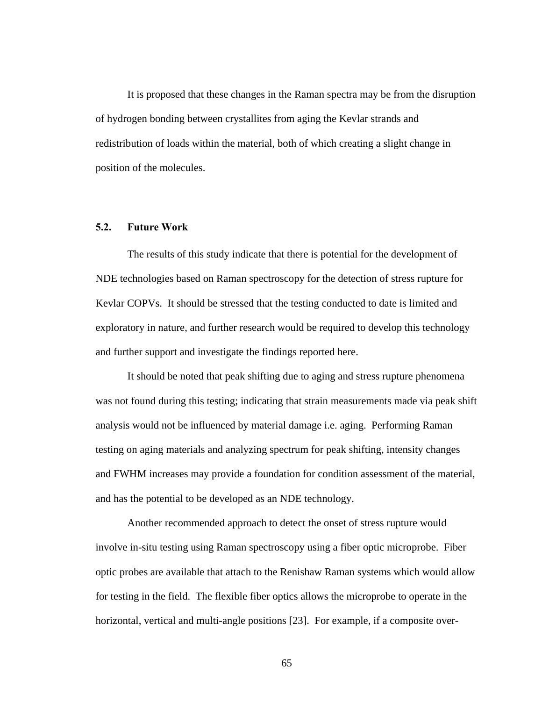It is proposed that these changes in the Raman spectra may be from the disruption of hydrogen bonding between crystallites from aging the Kevlar strands and redistribution of loads within the material, both of which creating a slight change in position of the molecules.

## **5.2. Future Work**

 The results of this study indicate that there is potential for the development of NDE technologies based on Raman spectroscopy for the detection of stress rupture for Kevlar COPVs. It should be stressed that the testing conducted to date is limited and exploratory in nature, and further research would be required to develop this technology and further support and investigate the findings reported here.

It should be noted that peak shifting due to aging and stress rupture phenomena was not found during this testing; indicating that strain measurements made via peak shift analysis would not be influenced by material damage i.e. aging. Performing Raman testing on aging materials and analyzing spectrum for peak shifting, intensity changes and FWHM increases may provide a foundation for condition assessment of the material, and has the potential to be developed as an NDE technology.

Another recommended approach to detect the onset of stress rupture would involve in-situ testing using Raman spectroscopy using a fiber optic microprobe. Fiber optic probes are available that attach to the Renishaw Raman systems which would allow for testing in the field. The flexible fiber optics allows the microprobe to operate in the horizontal, vertical and multi-angle positions [23]. For example, if a composite over-

65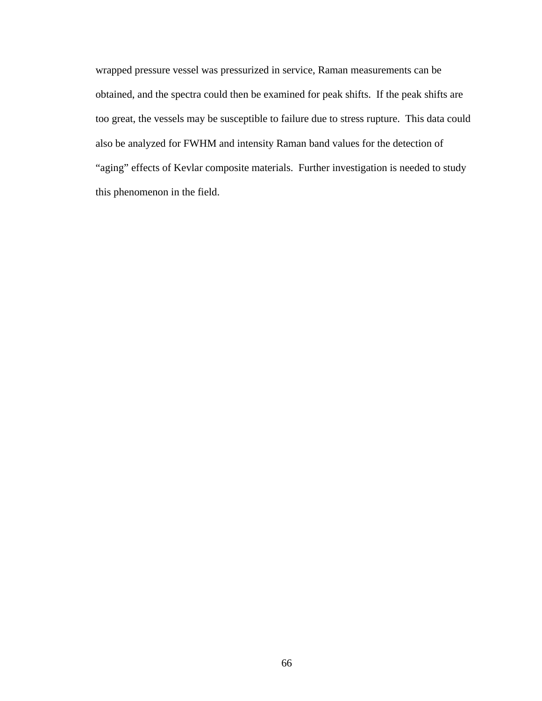wrapped pressure vessel was pressurized in service, Raman measurements can be obtained, and the spectra could then be examined for peak shifts. If the peak shifts are too great, the vessels may be susceptible to failure due to stress rupture. This data could also be analyzed for FWHM and intensity Raman band values for the detection of "aging" effects of Kevlar composite materials. Further investigation is needed to study this phenomenon in the field.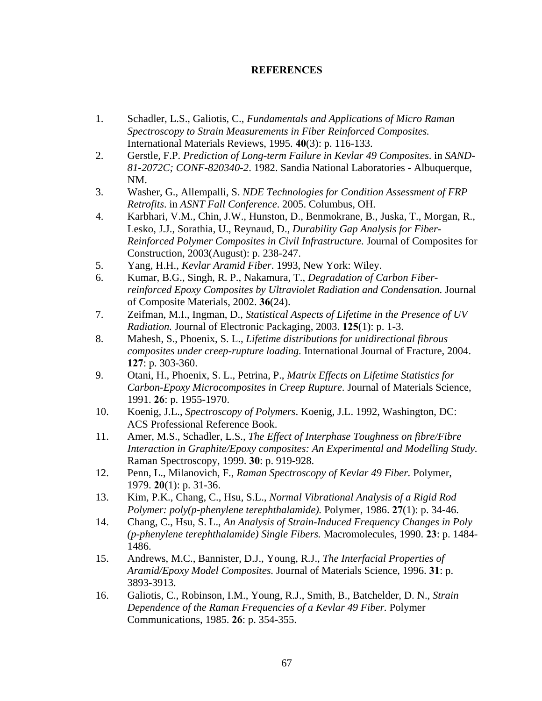## **REFERENCES**

- 1. Schadler, L.S., Galiotis, C., *Fundamentals and Applications of Micro Raman Spectroscopy to Strain Measurements in Fiber Reinforced Composites.* International Materials Reviews, 1995. **40**(3): p. 116-133.
- 2. Gerstle, F.P. *Prediction of Long-term Failure in Kevlar 49 Composites*. in *SAND-81-2072C; CONF-820340-2*. 1982. Sandia National Laboratories - Albuquerque, NM.
- 3. Washer, G., Allempalli, S. *NDE Technologies for Condition Assessment of FRP Retrofits*. in *ASNT Fall Conference*. 2005. Columbus, OH.
- 4. Karbhari, V.M., Chin, J.W., Hunston, D., Benmokrane, B., Juska, T., Morgan, R., Lesko, J.J., Sorathia, U., Reynaud, D., *Durability Gap Analysis for Fiber-Reinforced Polymer Composites in Civil Infrastructure.* Journal of Composites for Construction, 2003(August): p. 238-247.
- 5. Yang, H.H., *Kevlar Aramid Fiber*. 1993, New York: Wiley.
- 6. Kumar, B.G., Singh, R. P., Nakamura, T., *Degradation of Carbon Fiberreinforced Epoxy Composites by Ultraviolet Radiation and Condensation.* Journal of Composite Materials, 2002. **36**(24).
- 7. Zeifman, M.I., Ingman, D., *Statistical Aspects of Lifetime in the Presence of UV Radiation.* Journal of Electronic Packaging, 2003. **125**(1): p. 1-3.
- 8. Mahesh, S., Phoenix, S. L., *Lifetime distributions for unidirectional fibrous composites under creep-rupture loading.* International Journal of Fracture, 2004. **127**: p. 303-360.
- 9. Otani, H., Phoenix, S. L., Petrina, P., *Matrix Effects on Lifetime Statistics for Carbon-Epoxy Microcomposites in Creep Rupture.* Journal of Materials Science, 1991. **26**: p. 1955-1970.
- 10. Koenig, J.L., *Spectroscopy of Polymers*. Koenig, J.L. 1992, Washington, DC: ACS Professional Reference Book.
- 11. Amer, M.S., Schadler, L.S., *The Effect of Interphase Toughness on fibre/Fibre Interaction in Graphite/Epoxy composites: An Experimental and Modelling Study.* Raman Spectroscopy, 1999. **30**: p. 919-928.
- 12. Penn, L., Milanovich, F., *Raman Spectroscopy of Kevlar 49 Fiber.* Polymer, 1979. **20**(1): p. 31-36.
- 13. Kim, P.K., Chang, C., Hsu, S.L., *Normal Vibrational Analysis of a Rigid Rod Polymer: poly(p-phenylene terephthalamide).* Polymer, 1986. **27**(1): p. 34-46.
- 14. Chang, C., Hsu, S. L., *An Analysis of Strain-Induced Frequency Changes in Poly (p-phenylene terephthalamide) Single Fibers.* Macromolecules, 1990. **23**: p. 1484- 1486.
- 15. Andrews, M.C., Bannister, D.J., Young, R.J., *The Interfacial Properties of Aramid/Epoxy Model Composites.* Journal of Materials Science, 1996. **31**: p. 3893-3913.
- 16. Galiotis, C., Robinson, I.M., Young, R.J., Smith, B., Batchelder, D. N., *Strain Dependence of the Raman Frequencies of a Kevlar 49 Fiber.* Polymer Communications, 1985. **26**: p. 354-355.